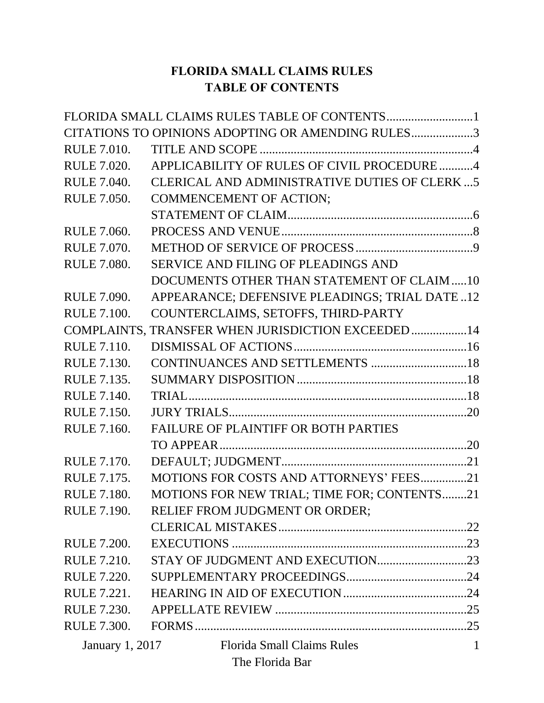# FLORIDA SMALL CLAIMS RULES TABLE OF CONTENTS

<span id="page-0-0"></span>

|                    | CITATIONS TO OPINIONS ADOPTING OR AMENDING RULES3   |
|--------------------|-----------------------------------------------------|
| <b>RULE 7.010.</b> |                                                     |
| <b>RULE 7.020.</b> | APPLICABILITY OF RULES OF CIVIL PROCEDURE 4         |
| <b>RULE 7.040.</b> | <b>CLERICAL AND ADMINISTRATIVE DUTIES OF CLERK5</b> |
| <b>RULE 7.050.</b> | <b>COMMENCEMENT OF ACTION;</b>                      |
|                    |                                                     |
| <b>RULE 7.060.</b> |                                                     |
| <b>RULE 7.070.</b> |                                                     |
| <b>RULE 7.080.</b> | SERVICE AND FILING OF PLEADINGS AND                 |
|                    | DOCUMENTS OTHER THAN STATEMENT OF CLAIM 10          |
| <b>RULE 7.090.</b> | APPEARANCE; DEFENSIVE PLEADINGS; TRIAL DATE 12      |
| <b>RULE 7.100.</b> | COUNTERCLAIMS, SETOFFS, THIRD-PARTY                 |
|                    | COMPLAINTS, TRANSFER WHEN JURISDICTION EXCEEDED  14 |
| <b>RULE 7.110.</b> |                                                     |
| RULE 7.130.        | CONTINUANCES AND SETTLEMENTS 18                     |
| <b>RULE 7.135.</b> |                                                     |
| <b>RULE 7.140.</b> |                                                     |
| <b>RULE 7.150.</b> |                                                     |
| RULE 7.160.        | FAILURE OF PLAINTIFF OR BOTH PARTIES                |
|                    |                                                     |
| <b>RULE 7.170.</b> |                                                     |
| RULE 7.175.        | MOTIONS FOR COSTS AND ATTORNEYS' FEES21             |
| <b>RULE 7.180.</b> | MOTIONS FOR NEW TRIAL; TIME FOR; CONTENTS21         |
| <b>RULE 7.190.</b> | RELIEF FROM JUDGMENT OR ORDER;                      |
|                    |                                                     |
| <b>RULE 7.200.</b> |                                                     |
| <b>RULE 7.210.</b> |                                                     |
| <b>RULE 7.220.</b> |                                                     |
| RULE 7.221.        |                                                     |
| RULE 7.230.        |                                                     |
| <b>RULE 7.300.</b> |                                                     |
| January 1, 2017    | <b>Florida Small Claims Rules</b><br>1              |
|                    | The Florida Bar                                     |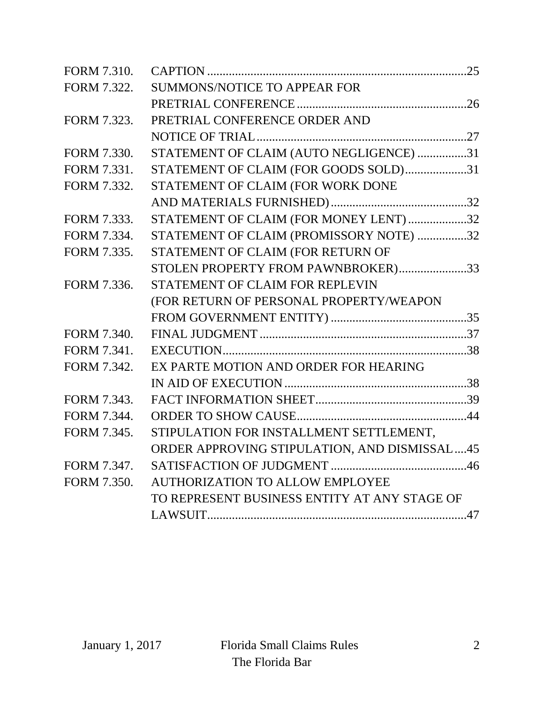<span id="page-1-0"></span>

| FORM 7.310. |                                              |  |
|-------------|----------------------------------------------|--|
| FORM 7.322. | <b>SUMMONS/NOTICE TO APPEAR FOR</b>          |  |
|             |                                              |  |
| FORM 7.323. | PRETRIAL CONFERENCE ORDER AND                |  |
|             |                                              |  |
| FORM 7.330. | STATEMENT OF CLAIM (AUTO NEGLIGENCE) 31      |  |
| FORM 7.331. | STATEMENT OF CLAIM (FOR GOODS SOLD)31        |  |
| FORM 7.332. | STATEMENT OF CLAIM (FOR WORK DONE            |  |
|             |                                              |  |
| FORM 7.333. | STATEMENT OF CLAIM (FOR MONEY LENT) 32       |  |
| FORM 7.334. | STATEMENT OF CLAIM (PROMISSORY NOTE) 32      |  |
| FORM 7.335. | STATEMENT OF CLAIM (FOR RETURN OF            |  |
|             | STOLEN PROPERTY FROM PAWNBROKER)33           |  |
| FORM 7.336. | STATEMENT OF CLAIM FOR REPLEVIN              |  |
|             | (FOR RETURN OF PERSONAL PROPERTY/WEAPON      |  |
|             |                                              |  |
| FORM 7.340. |                                              |  |
| FORM 7.341. |                                              |  |
| FORM 7.342. | EX PARTE MOTION AND ORDER FOR HEARING        |  |
|             |                                              |  |
| FORM 7.343. |                                              |  |
| FORM 7.344. |                                              |  |
| FORM 7.345. | STIPULATION FOR INSTALLMENT SETTLEMENT,      |  |
|             | ORDER APPROVING STIPULATION, AND DISMISSAL45 |  |
| FORM 7.347. |                                              |  |
| FORM 7.350. | <b>AUTHORIZATION TO ALLOW EMPLOYEE</b>       |  |
|             | TO REPRESENT BUSINESS ENTITY AT ANY STAGE OF |  |
|             |                                              |  |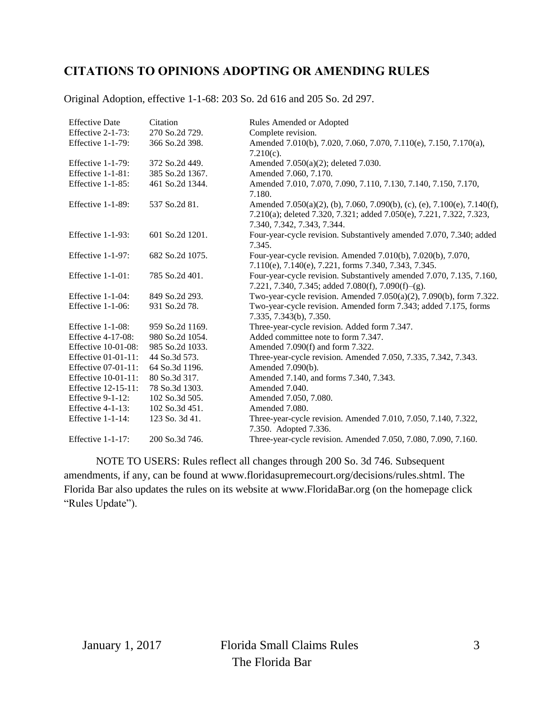# CITATIONS TO OPINIONS ADOPTING OR AMENDING RULES

#### Original Adoption, effective 1-1-68: 203 So. 2d 616 and 205 So. 2d 297.

| <b>Effective Date</b>  | Citation        | Rules Amended or Adopted                                                 |
|------------------------|-----------------|--------------------------------------------------------------------------|
| Effective $2-1-73$ :   | 270 So.2d 729.  | Complete revision.                                                       |
| Effective $1-1-79$ :   | 366 So.2d 398.  | Amended 7.010(b), 7.020, 7.060, 7.070, 7.110(e), 7.150, 7.170(a),        |
|                        |                 | $7.210(c)$ .                                                             |
| Effective $1-1-79$ :   | 372 So.2d 449.  | Amended 7.050(a)(2); deleted 7.030.                                      |
| Effective $1-1-81$ :   | 385 So.2d 1367. | Amended 7.060, 7.170.                                                    |
| Effective $1-1-85$ :   | 461 So.2d 1344. | Amended 7.010, 7.070, 7.090, 7.110, 7.130, 7.140, 7.150, 7.170,          |
|                        |                 | 7.180.                                                                   |
| Effective 1-1-89:      | 537 So.2d 81.   | Amended 7.050(a)(2), (b), 7.060, 7.090(b), (c), (e), 7.100(e), 7.140(f), |
|                        |                 | 7.210(a); deleted 7.320, 7.321; added 7.050(e), 7.221, 7.322, 7.323,     |
|                        |                 | 7.340, 7.342, 7.343, 7.344.                                              |
| Effective 1-1-93:      | 601 So.2d 1201. | Four-year-cycle revision. Substantively amended 7.070, 7.340; added      |
|                        |                 | 7.345.                                                                   |
| Effective $1-1-97$ :   | 682 So.2d 1075. | Four-year-cycle revision. Amended 7.010(b), 7.020(b), 7.070,             |
|                        |                 | 7.110(e), 7.140(e), 7.221, forms 7.340, 7.343, 7.345.                    |
| Effective $1-1-01$ :   | 785 So.2d 401.  | Four-year-cycle revision. Substantively amended 7.070, 7.135, 7.160,     |
|                        |                 | 7.221, 7.340, 7.345; added 7.080(f), 7.090(f)–(g).                       |
| Effective $1-1-04$ :   | 849 So.2d 293.  | Two-year-cycle revision. Amended 7.050(a)(2), 7.090(b), form 7.322.      |
| Effective 1-1-06:      | 931 So.2d 78.   | Two-year-cycle revision. Amended form 7.343; added 7.175, forms          |
|                        |                 | 7.335, 7.343(b), 7.350.                                                  |
| Effective $1-1-08$ :   | 959 So.2d 1169. | Three-year-cycle revision. Added form 7.347.                             |
| Effective $4-17-08$ :  | 980 So.2d 1054. | Added committee note to form 7.347.                                      |
| Effective 10-01-08:    | 985 So.2d 1033. | Amended 7.090(f) and form 7.322.                                         |
| Effective $01-01-11$ : | 44 So.3d 573.   | Three-year-cycle revision. Amended 7.050, 7.335, 7.342, 7.343.           |
| Effective 07-01-11:    | 64 So.3d 1196.  | Amended 7.090(b).                                                        |
| Effective $10-01-11$ : | 80 So.3d 317.   | Amended 7.140, and forms 7.340, 7.343.                                   |
| Effective 12-15-11:    | 78 So.3d 1303.  | Amended 7.040.                                                           |
| Effective $9-1-12$ :   | 102 So.3d 505.  | Amended 7.050, 7.080.                                                    |
| Effective 4-1-13:      | 102 So.3d 451.  | Amended 7.080.                                                           |
| Effective $1-1-14$ :   | 123 So. 3d 41.  | Three-year-cycle revision. Amended 7.010, 7.050, 7.140, 7.322,           |
|                        |                 | 7.350. Adopted 7.336.                                                    |
| Effective $1-1-17$ :   | 200 So.3d 746.  | Three-year-cycle revision. Amended 7.050, 7.080, 7.090, 7.160.           |
|                        |                 |                                                                          |

NOTE TO USERS: Rules reflect all changes through 200 So. 3d 746. Subsequent amendments, if any, can be found at www.floridasupremecourt.org/decisions/rules.shtml. The Florida Bar also updates the rules on its website at www.FloridaBar.org (on the homepage click "Rules Update").

January 1, 2017 Florida Small Claims Rules 3 The Florida Bar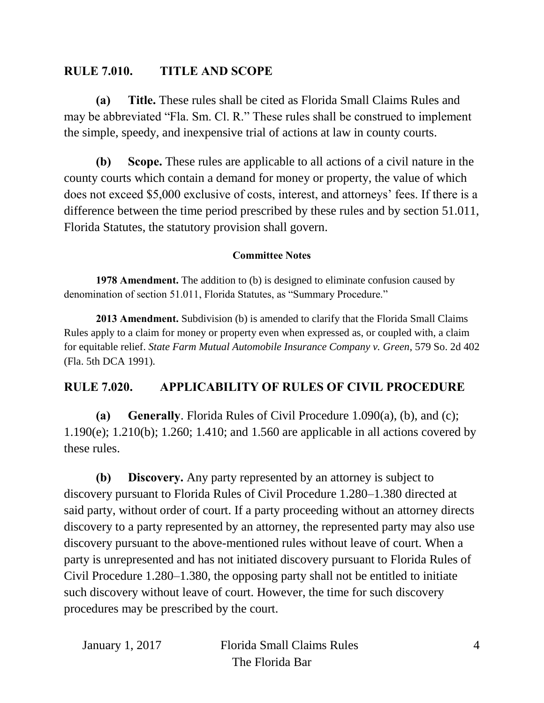# <span id="page-3-0"></span>RULE 7.010. TITLE AND SCOPE

(a) Title. These rules shall be cited as Florida Small Claims Rules and may be abbreviated "Fla. Sm. Cl. R." These rules shall be construed to implement the simple, speedy, and inexpensive trial of actions at law in county courts.

(b) Scope. These rules are applicable to all actions of a civil nature in the county courts which contain a demand for money or property, the value of which does not exceed \$5,000 exclusive of costs, interest, and attorneys' fees. If there is a difference between the time period prescribed by these rules and by section 51.011, Florida Statutes, the statutory provision shall govern.

#### Committee Notes

1978 Amendment. The addition to (b) is designed to eliminate confusion caused by denomination of section 51.011, Florida Statutes, as "Summary Procedure."

2013 Amendment. Subdivision (b) is amended to clarify that the Florida Small Claims Rules apply to a claim for money or property even when expressed as, or coupled with, a claim for equitable relief. *State Farm Mutual Automobile Insurance Company v. Green*, 579 So. 2d 402 (Fla. 5th DCA 1991).

## <span id="page-3-1"></span>RULE 7.020. APPLICABILITY OF RULES OF CIVIL PROCEDURE

(a) Generally. Florida Rules of Civil Procedure 1.090(a), (b), and (c); 1.190(e); 1.210(b); 1.260; 1.410; and 1.560 are applicable in all actions covered by these rules.

(b) Discovery. Any party represented by an attorney is subject to discovery pursuant to Florida Rules of Civil Procedure 1.280–1.380 directed at said party, without order of court. If a party proceeding without an attorney directs discovery to a party represented by an attorney, the represented party may also use discovery pursuant to the above-mentioned rules without leave of court. When a party is unrepresented and has not initiated discovery pursuant to Florida Rules of Civil Procedure 1.280–1.380, the opposing party shall not be entitled to initiate such discovery without leave of court. However, the time for such discovery procedures may be prescribed by the court.

| January 1, 2017 | <b>Florida Small Claims Rules</b> |  |
|-----------------|-----------------------------------|--|
|                 | The Florida Bar                   |  |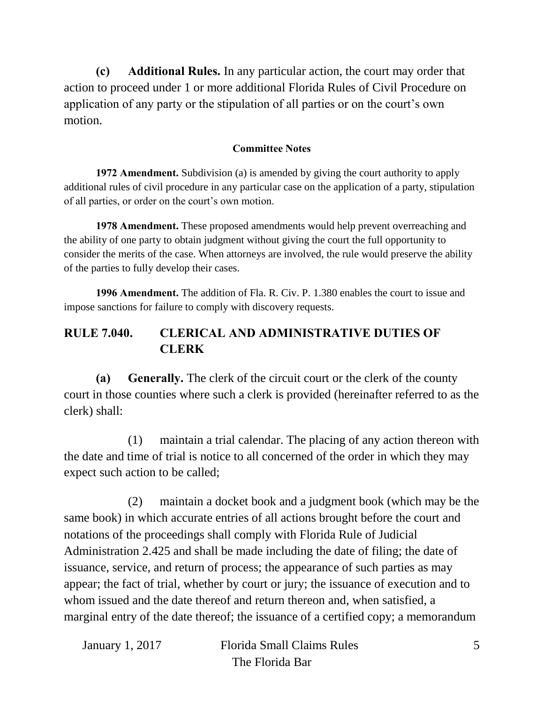(c) Additional Rules. In any particular action, the court may order that action to proceed under 1 or more additional Florida Rules of Civil Procedure on application of any party or the stipulation of all parties or on the court's own motion.

## Committee Notes

1972 Amendment. Subdivision (a) is amended by giving the court authority to apply additional rules of civil procedure in any particular case on the application of a party, stipulation of all parties, or order on the court's own motion.

1978 Amendment. These proposed amendments would help prevent overreaching and the ability of one party to obtain judgment without giving the court the full opportunity to consider the merits of the case. When attorneys are involved, the rule would preserve the ability of the parties to fully develop their cases.

1996 Amendment. The addition of Fla. R. Civ. P. 1.380 enables the court to issue and impose sanctions for failure to comply with discovery requests.

# <span id="page-4-0"></span>RULE 7.040. CLERICAL AND ADMINISTRATIVE DUTIES OF CLERK

(a) Generally. The clerk of the circuit court or the clerk of the county court in those counties where such a clerk is provided (hereinafter referred to as the clerk) shall:

(1) maintain a trial calendar. The placing of any action thereon with the date and time of trial is notice to all concerned of the order in which they may expect such action to be called;

(2) maintain a docket book and a judgment book (which may be the same book) in which accurate entries of all actions brought before the court and notations of the proceedings shall comply with Florida Rule of Judicial Administration 2.425 and shall be made including the date of filing; the date of issuance, service, and return of process; the appearance of such parties as may appear; the fact of trial, whether by court or jury; the issuance of execution and to whom issued and the date thereof and return thereon and, when satisfied, a marginal entry of the date thereof; the issuance of a certified copy; a memorandum

| January 1, 2017 | <b>Florida Small Claims Rules</b> |  |
|-----------------|-----------------------------------|--|
|                 | The Florida Bar                   |  |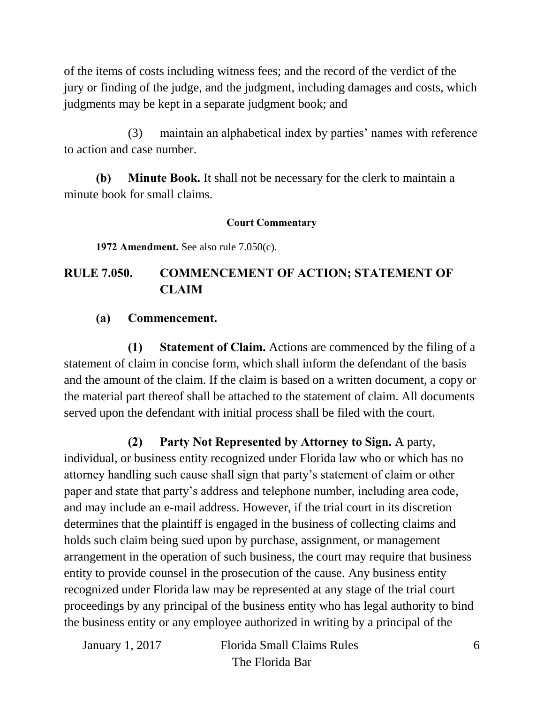of the items of costs including witness fees; and the record of the verdict of the jury or finding of the judge, and the judgment, including damages and costs, which judgments may be kept in a separate judgment book; and

(3) maintain an alphabetical index by parties' names with reference to action and case number.

(b) Minute Book. It shall not be necessary for the clerk to maintain a minute book for small claims.

## Court Commentary

1972 Amendment. See also rule 7.050(c).

# <span id="page-5-0"></span>RULE 7.050. COMMENCEMENT OF ACTION; STATEMENT OF CLAIM

## (a) Commencement.

(1) Statement of Claim. Actions are commenced by the filing of a statement of claim in concise form, which shall inform the defendant of the basis and the amount of the claim. If the claim is based on a written document, a copy or the material part thereof shall be attached to the statement of claim. All documents served upon the defendant with initial process shall be filed with the court.

(2) Party Not Represented by Attorney to Sign. A party, individual, or business entity recognized under Florida law who or which has no attorney handling such cause shall sign that party's statement of claim or other paper and state that party's address and telephone number, including area code, and may include an e-mail address. However, if the trial court in its discretion determines that the plaintiff is engaged in the business of collecting claims and holds such claim being sued upon by purchase, assignment, or management arrangement in the operation of such business, the court may require that business entity to provide counsel in the prosecution of the cause. Any business entity recognized under Florida law may be represented at any stage of the trial court proceedings by any principal of the business entity who has legal authority to bind the business entity or any employee authorized in writing by a principal of the

January 1, 2017 Florida Small Claims Rules 6 The Florida Bar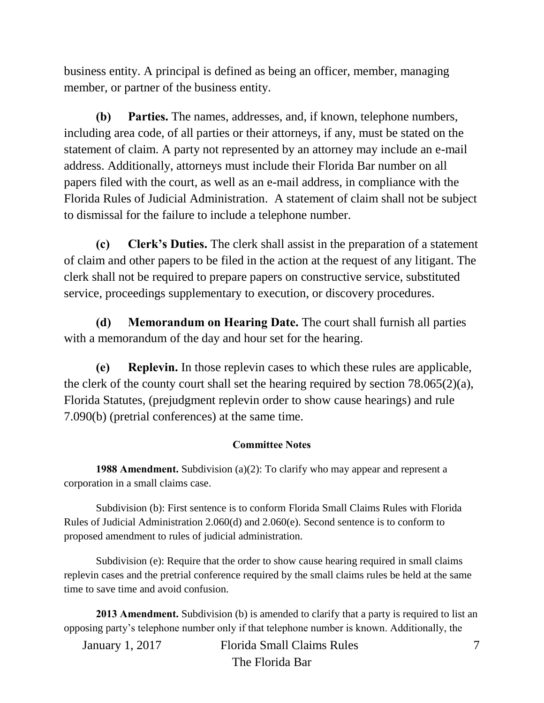business entity. A principal is defined as being an officer, member, managing member, or partner of the business entity.

(b) Parties. The names, addresses, and, if known, telephone numbers, including area code, of all parties or their attorneys, if any, must be stated on the statement of claim. A party not represented by an attorney may include an e-mail address. Additionally, attorneys must include their Florida Bar number on all papers filed with the court, as well as an e-mail address, in compliance with the Florida Rules of Judicial Administration. A statement of claim shall not be subject to dismissal for the failure to include a telephone number.

(c) Clerk's Duties. The clerk shall assist in the preparation of a statement of claim and other papers to be filed in the action at the request of any litigant. The clerk shall not be required to prepare papers on constructive service, substituted service, proceedings supplementary to execution, or discovery procedures.

(d) Memorandum on Hearing Date. The court shall furnish all parties with a memorandum of the day and hour set for the hearing.

(e) Replevin. In those replevin cases to which these rules are applicable, the clerk of the county court shall set the hearing required by section 78.065(2)(a), Florida Statutes, (prejudgment replevin order to show cause hearings) and rule 7.090(b) (pretrial conferences) at the same time.

## Committee Notes

1988 Amendment. Subdivision (a)(2): To clarify who may appear and represent a corporation in a small claims case.

Subdivision (b): First sentence is to conform Florida Small Claims Rules with Florida Rules of Judicial Administration 2.060(d) and 2.060(e). Second sentence is to conform to proposed amendment to rules of judicial administration.

Subdivision (e): Require that the order to show cause hearing required in small claims replevin cases and the pretrial conference required by the small claims rules be held at the same time to save time and avoid confusion.

2013 Amendment. Subdivision (b) is amended to clarify that a party is required to list an opposing party's telephone number only if that telephone number is known. Additionally, the

| January 1, 2017 | <b>Florida Small Claims Rules</b> |  |
|-----------------|-----------------------------------|--|
|                 | The Florida Bar                   |  |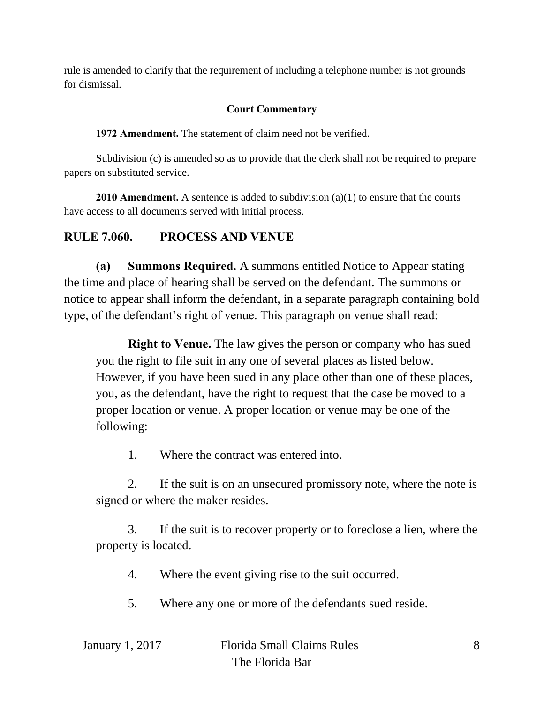rule is amended to clarify that the requirement of including a telephone number is not grounds for dismissal.

## Court Commentary

1972 Amendment. The statement of claim need not be verified.

Subdivision (c) is amended so as to provide that the clerk shall not be required to prepare papers on substituted service.

**2010 Amendment.** A sentence is added to subdivision  $(a)(1)$  to ensure that the courts have access to all documents served with initial process.

## <span id="page-7-0"></span>RULE 7.060. PROCESS AND VENUE

(a) Summons Required. A summons entitled Notice to Appear stating the time and place of hearing shall be served on the defendant. The summons or notice to appear shall inform the defendant, in a separate paragraph containing bold type, of the defendant's right of venue. This paragraph on venue shall read:

**Right to Venue.** The law gives the person or company who has sued you the right to file suit in any one of several places as listed below. However, if you have been sued in any place other than one of these places, you, as the defendant, have the right to request that the case be moved to a proper location or venue. A proper location or venue may be one of the following:

1. Where the contract was entered into.

2. If the suit is on an unsecured promissory note, where the note is signed or where the maker resides.

3. If the suit is to recover property or to foreclose a lien, where the property is located.

4. Where the event giving rise to the suit occurred.

5. Where any one or more of the defendants sued reside.

| <b>January 1, 2017</b> | <b>Florida Small Claims Rules</b> |  |
|------------------------|-----------------------------------|--|
|                        | The Florida Bar                   |  |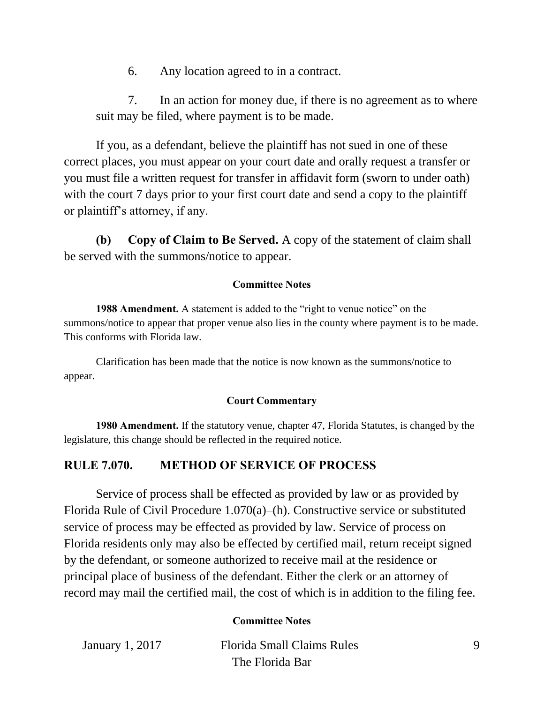6. Any location agreed to in a contract.

7. In an action for money due, if there is no agreement as to where suit may be filed, where payment is to be made.

If you, as a defendant, believe the plaintiff has not sued in one of these correct places, you must appear on your court date and orally request a transfer or you must file a written request for transfer in affidavit form (sworn to under oath) with the court 7 days prior to your first court date and send a copy to the plaintiff or plaintiff's attorney, if any.

(b) Copy of Claim to Be Served. A copy of the statement of claim shall be served with the summons/notice to appear.

#### Committee Notes

1988 Amendment. A statement is added to the "right to venue notice" on the summons/notice to appear that proper venue also lies in the county where payment is to be made. This conforms with Florida law.

Clarification has been made that the notice is now known as the summons/notice to appear.

#### Court Commentary

1980 Amendment. If the statutory venue, chapter 47, Florida Statutes, is changed by the legislature, this change should be reflected in the required notice.

## <span id="page-8-0"></span>RULE 7.070. METHOD OF SERVICE OF PROCESS

Service of process shall be effected as provided by law or as provided by Florida Rule of Civil Procedure 1.070(a)–(h). Constructive service or substituted service of process may be effected as provided by law. Service of process on Florida residents only may also be effected by certified mail, return receipt signed by the defendant, or someone authorized to receive mail at the residence or principal place of business of the defendant. Either the clerk or an attorney of record may mail the certified mail, the cost of which is in addition to the filing fee.

#### Committee Notes

January 1, 2017 Florida Small Claims Rules 9 The Florida Bar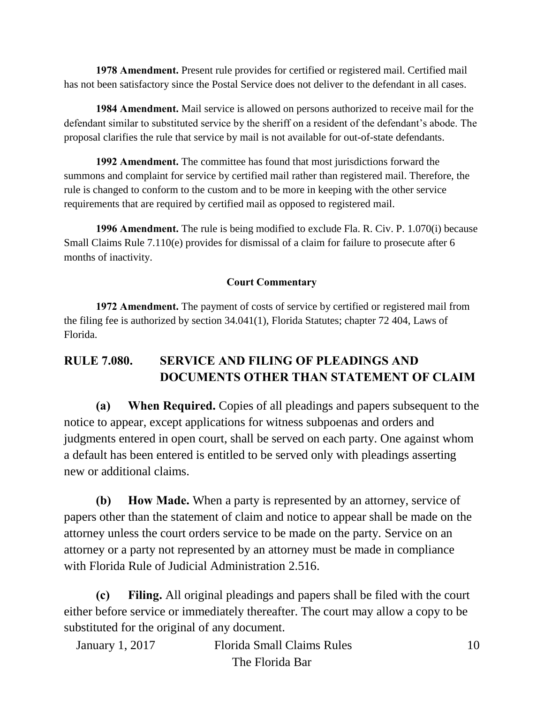1978 Amendment. Present rule provides for certified or registered mail. Certified mail has not been satisfactory since the Postal Service does not deliver to the defendant in all cases.

1984 Amendment. Mail service is allowed on persons authorized to receive mail for the defendant similar to substituted service by the sheriff on a resident of the defendant's abode. The proposal clarifies the rule that service by mail is not available for out-of-state defendants.

1992 Amendment. The committee has found that most jurisdictions forward the summons and complaint for service by certified mail rather than registered mail. Therefore, the rule is changed to conform to the custom and to be more in keeping with the other service requirements that are required by certified mail as opposed to registered mail.

1996 Amendment. The rule is being modified to exclude Fla. R. Civ. P. 1.070(i) because Small Claims Rule 7.110(e) provides for dismissal of a claim for failure to prosecute after 6 months of inactivity.

#### Court Commentary

1972 Amendment. The payment of costs of service by certified or registered mail from the filing fee is authorized by section 34.041(1), Florida Statutes; chapter 72 404, Laws of Florida.

# <span id="page-9-0"></span>RULE 7.080. SERVICE AND FILING OF PLEADINGS AND DOCUMENTS OTHER THAN STATEMENT OF CLAIM

(a) When Required. Copies of all pleadings and papers subsequent to the notice to appear, except applications for witness subpoenas and orders and judgments entered in open court, shall be served on each party. One against whom a default has been entered is entitled to be served only with pleadings asserting new or additional claims.

(b) How Made. When a party is represented by an attorney, service of papers other than the statement of claim and notice to appear shall be made on the attorney unless the court orders service to be made on the party. Service on an attorney or a party not represented by an attorney must be made in compliance with Florida Rule of Judicial Administration 2.516.

(c) Filing. All original pleadings and papers shall be filed with the court either before service or immediately thereafter. The court may allow a copy to be substituted for the original of any document.

| January 1, 2017 | <b>Florida Small Claims Rules</b> |  |
|-----------------|-----------------------------------|--|
|                 | The Florida Bar                   |  |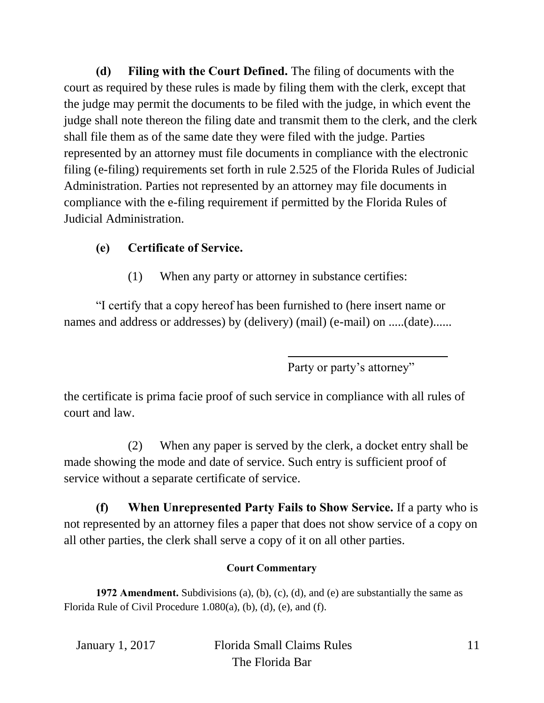(d) Filing with the Court Defined. The filing of documents with the court as required by these rules is made by filing them with the clerk, except that the judge may permit the documents to be filed with the judge, in which event the judge shall note thereon the filing date and transmit them to the clerk, and the clerk shall file them as of the same date they were filed with the judge. Parties represented by an attorney must file documents in compliance with the electronic filing (e-filing) requirements set forth in rule 2.525 of the Florida Rules of Judicial Administration. Parties not represented by an attorney may file documents in compliance with the e-filing requirement if permitted by the Florida Rules of Judicial Administration.

# (e) Certificate of Service.

(1) When any party or attorney in substance certifies:

"I certify that a copy hereof has been furnished to (here insert name or names and address or addresses) by (delivery) (mail) (e-mail) on .....(date)......

Party or party's attorney"

the certificate is prima facie proof of such service in compliance with all rules of court and law.

(2) When any paper is served by the clerk, a docket entry shall be made showing the mode and date of service. Such entry is sufficient proof of service without a separate certificate of service.

(f) When Unrepresented Party Fails to Show Service. If a party who is not represented by an attorney files a paper that does not show service of a copy on all other parties, the clerk shall serve a copy of it on all other parties.

# Court Commentary

1972 Amendment. Subdivisions (a), (b), (c), (d), and (e) are substantially the same as Florida Rule of Civil Procedure 1.080(a), (b), (d), (e), and (f).

January 1, 2017 Florida Small Claims Rules 11 The Florida Bar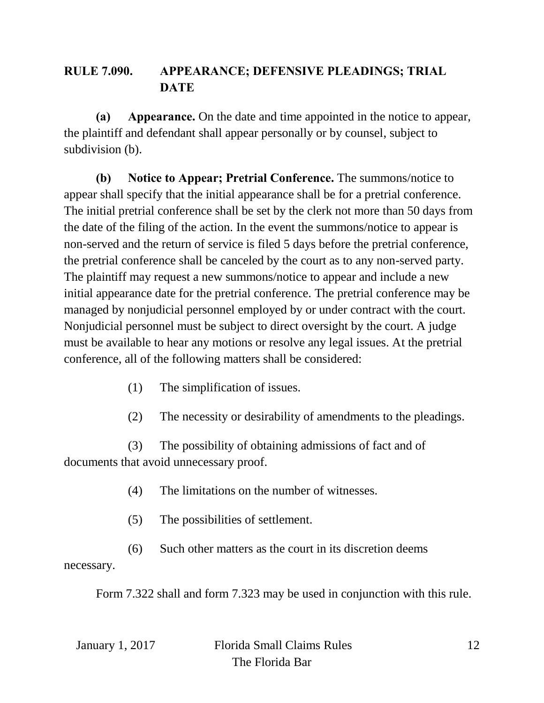# <span id="page-11-0"></span>RULE 7.090. APPEARANCE; DEFENSIVE PLEADINGS; TRIAL **DATE**

(a) Appearance. On the date and time appointed in the notice to appear, the plaintiff and defendant shall appear personally or by counsel, subject to subdivision (b).

(b) Notice to Appear; Pretrial Conference. The summons/notice to appear shall specify that the initial appearance shall be for a pretrial conference. The initial pretrial conference shall be set by the clerk not more than 50 days from the date of the filing of the action. In the event the summons/notice to appear is non-served and the return of service is filed 5 days before the pretrial conference, the pretrial conference shall be canceled by the court as to any non-served party. The plaintiff may request a new summons/notice to appear and include a new initial appearance date for the pretrial conference. The pretrial conference may be managed by nonjudicial personnel employed by or under contract with the court. Nonjudicial personnel must be subject to direct oversight by the court. A judge must be available to hear any motions or resolve any legal issues. At the pretrial conference, all of the following matters shall be considered:

- (1) The simplification of issues.
- (2) The necessity or desirability of amendments to the pleadings.

(3) The possibility of obtaining admissions of fact and of documents that avoid unnecessary proof.

- (4) The limitations on the number of witnesses.
- (5) The possibilities of settlement.
- (6) Such other matters as the court in its discretion deems

necessary.

Form 7.322 shall and form 7.323 may be used in conjunction with this rule.

January 1, 2017 Florida Small Claims Rules 12 The Florida Bar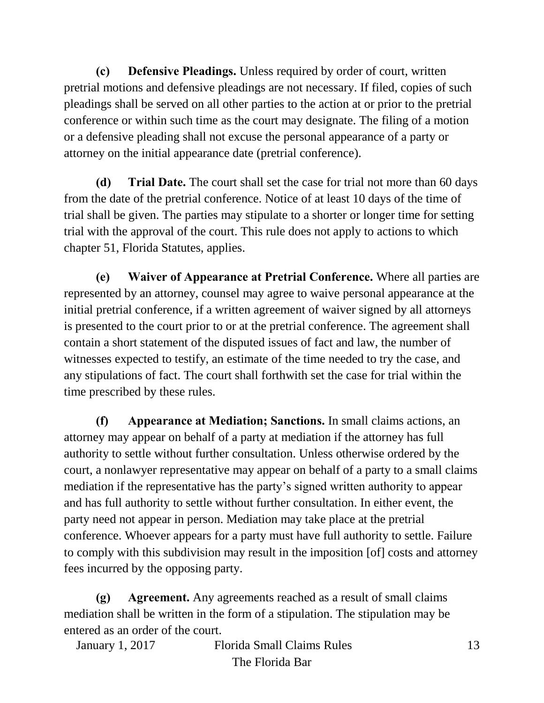(c) Defensive Pleadings. Unless required by order of court, written pretrial motions and defensive pleadings are not necessary. If filed, copies of such pleadings shall be served on all other parties to the action at or prior to the pretrial conference or within such time as the court may designate. The filing of a motion or a defensive pleading shall not excuse the personal appearance of a party or attorney on the initial appearance date (pretrial conference).

(d) Trial Date. The court shall set the case for trial not more than 60 days from the date of the pretrial conference. Notice of at least 10 days of the time of trial shall be given. The parties may stipulate to a shorter or longer time for setting trial with the approval of the court. This rule does not apply to actions to which chapter 51, Florida Statutes, applies.

(e) Waiver of Appearance at Pretrial Conference. Where all parties are represented by an attorney, counsel may agree to waive personal appearance at the initial pretrial conference, if a written agreement of waiver signed by all attorneys is presented to the court prior to or at the pretrial conference. The agreement shall contain a short statement of the disputed issues of fact and law, the number of witnesses expected to testify, an estimate of the time needed to try the case, and any stipulations of fact. The court shall forthwith set the case for trial within the time prescribed by these rules.

(f) Appearance at Mediation; Sanctions. In small claims actions, an attorney may appear on behalf of a party at mediation if the attorney has full authority to settle without further consultation. Unless otherwise ordered by the court, a nonlawyer representative may appear on behalf of a party to a small claims mediation if the representative has the party's signed written authority to appear and has full authority to settle without further consultation. In either event, the party need not appear in person. Mediation may take place at the pretrial conference. Whoever appears for a party must have full authority to settle. Failure to comply with this subdivision may result in the imposition [of] costs and attorney fees incurred by the opposing party.

(g) Agreement. Any agreements reached as a result of small claims mediation shall be written in the form of a stipulation. The stipulation may be entered as an order of the court.

| January 1, 2017 | <b>Florida Small Claims Rules</b> |  |
|-----------------|-----------------------------------|--|
|                 | The Florida Bar                   |  |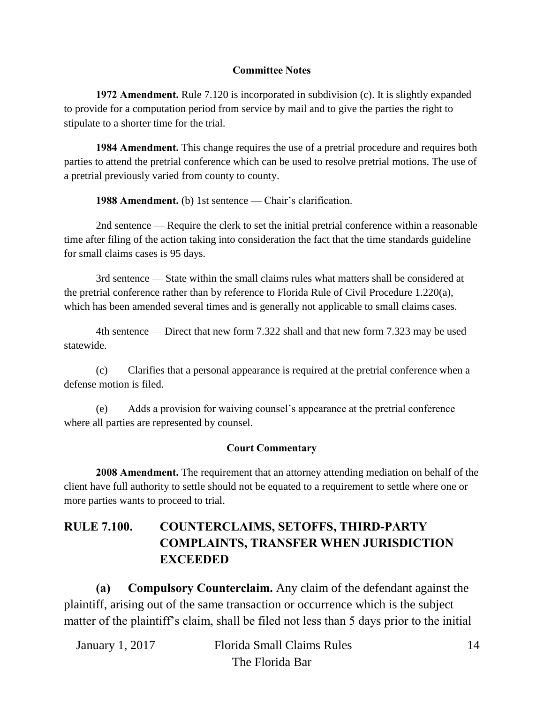#### Committee Notes

1972 Amendment. Rule 7.120 is incorporated in subdivision (c). It is slightly expanded to provide for a computation period from service by mail and to give the parties the right to stipulate to a shorter time for the trial.

1984 Amendment. This change requires the use of a pretrial procedure and requires both parties to attend the pretrial conference which can be used to resolve pretrial motions. The use of a pretrial previously varied from county to county.

1988 Amendment. (b) 1st sentence — Chair's clarification.

2nd sentence — Require the clerk to set the initial pretrial conference within a reasonable time after filing of the action taking into consideration the fact that the time standards guideline for small claims cases is 95 days.

3rd sentence — State within the small claims rules what matters shall be considered at the pretrial conference rather than by reference to Florida Rule of Civil Procedure 1.220(a), which has been amended several times and is generally not applicable to small claims cases.

4th sentence — Direct that new form 7.322 shall and that new form 7.323 may be used statewide.

(c) Clarifies that a personal appearance is required at the pretrial conference when a defense motion is filed.

(e) Adds a provision for waiving counsel's appearance at the pretrial conference where all parties are represented by counsel.

#### Court Commentary

2008 Amendment. The requirement that an attorney attending mediation on behalf of the client have full authority to settle should not be equated to a requirement to settle where one or more parties wants to proceed to trial.

# <span id="page-13-0"></span>RULE 7.100. COUNTERCLAIMS, SETOFFS, THIRD-PARTY COMPLAINTS, TRANSFER WHEN JURISDICTION **EXCEEDED**

(a) Compulsory Counterclaim. Any claim of the defendant against the plaintiff, arising out of the same transaction or occurrence which is the subject matter of the plaintiff's claim, shall be filed not less than 5 days prior to the initial

| January 1, 2017 | <b>Florida Small Claims Rules</b> | 14 |
|-----------------|-----------------------------------|----|
|                 | The Florida Bar                   |    |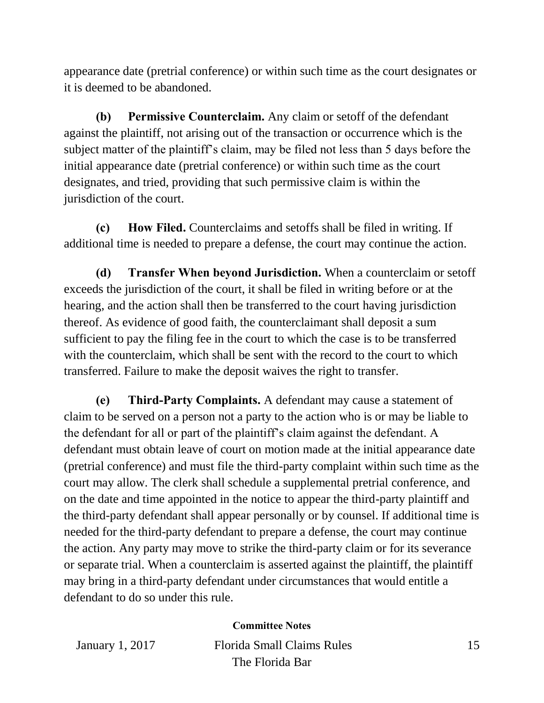appearance date (pretrial conference) or within such time as the court designates or it is deemed to be abandoned.

(b) Permissive Counterclaim. Any claim or setoff of the defendant against the plaintiff, not arising out of the transaction or occurrence which is the subject matter of the plaintiff's claim, may be filed not less than 5 days before the initial appearance date (pretrial conference) or within such time as the court designates, and tried, providing that such permissive claim is within the jurisdiction of the court.

(c) How Filed. Counterclaims and setoffs shall be filed in writing. If additional time is needed to prepare a defense, the court may continue the action.

(d) Transfer When beyond Jurisdiction. When a counterclaim or setoff exceeds the jurisdiction of the court, it shall be filed in writing before or at the hearing, and the action shall then be transferred to the court having jurisdiction thereof. As evidence of good faith, the counterclaimant shall deposit a sum sufficient to pay the filing fee in the court to which the case is to be transferred with the counterclaim, which shall be sent with the record to the court to which transferred. Failure to make the deposit waives the right to transfer.

(e) Third-Party Complaints. A defendant may cause a statement of claim to be served on a person not a party to the action who is or may be liable to the defendant for all or part of the plaintiff's claim against the defendant. A defendant must obtain leave of court on motion made at the initial appearance date (pretrial conference) and must file the third-party complaint within such time as the court may allow. The clerk shall schedule a supplemental pretrial conference, and on the date and time appointed in the notice to appear the third-party plaintiff and the third-party defendant shall appear personally or by counsel. If additional time is needed for the third-party defendant to prepare a defense, the court may continue the action. Any party may move to strike the third-party claim or for its severance or separate trial. When a counterclaim is asserted against the plaintiff, the plaintiff may bring in a third-party defendant under circumstances that would entitle a defendant to do so under this rule.

Committee Notes

January 1, 2017 Florida Small Claims Rules 15 The Florida Bar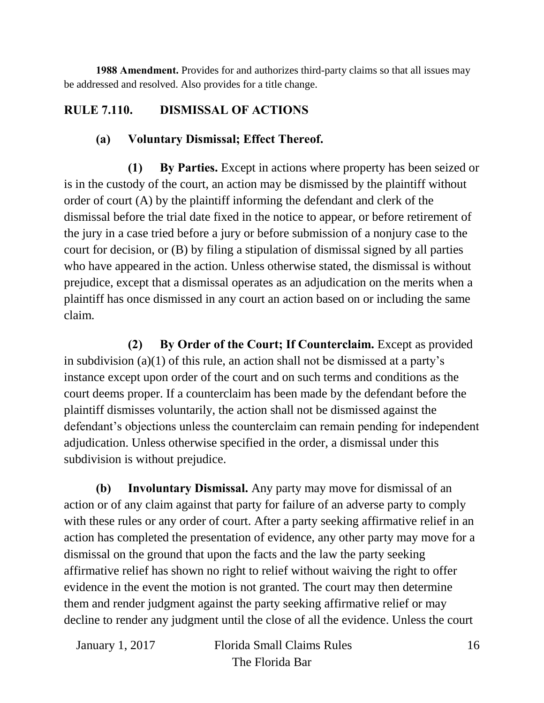1988 Amendment. Provides for and authorizes third-party claims so that all issues may be addressed and resolved. Also provides for a title change.

# <span id="page-15-0"></span>RULE 7.110. DISMISSAL OF ACTIONS

# (a) Voluntary Dismissal; Effect Thereof.

(1) By Parties. Except in actions where property has been seized or is in the custody of the court, an action may be dismissed by the plaintiff without order of court (A) by the plaintiff informing the defendant and clerk of the dismissal before the trial date fixed in the notice to appear, or before retirement of the jury in a case tried before a jury or before submission of a nonjury case to the court for decision, or (B) by filing a stipulation of dismissal signed by all parties who have appeared in the action. Unless otherwise stated, the dismissal is without prejudice, except that a dismissal operates as an adjudication on the merits when a plaintiff has once dismissed in any court an action based on or including the same claim.

(2) By Order of the Court; If Counterclaim. Except as provided in subdivision (a)(1) of this rule, an action shall not be dismissed at a party's instance except upon order of the court and on such terms and conditions as the court deems proper. If a counterclaim has been made by the defendant before the plaintiff dismisses voluntarily, the action shall not be dismissed against the defendant's objections unless the counterclaim can remain pending for independent adjudication. Unless otherwise specified in the order, a dismissal under this subdivision is without prejudice.

(b) Involuntary Dismissal. Any party may move for dismissal of an action or of any claim against that party for failure of an adverse party to comply with these rules or any order of court. After a party seeking affirmative relief in an action has completed the presentation of evidence, any other party may move for a dismissal on the ground that upon the facts and the law the party seeking affirmative relief has shown no right to relief without waiving the right to offer evidence in the event the motion is not granted. The court may then determine them and render judgment against the party seeking affirmative relief or may decline to render any judgment until the close of all the evidence. Unless the court

January 1, 2017 Florida Small Claims Rules 16 The Florida Bar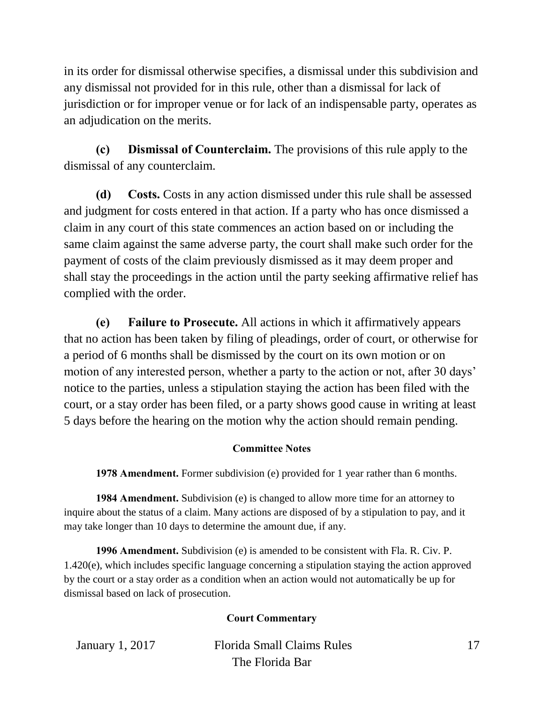in its order for dismissal otherwise specifies, a dismissal under this subdivision and any dismissal not provided for in this rule, other than a dismissal for lack of jurisdiction or for improper venue or for lack of an indispensable party, operates as an adjudication on the merits.

(c) Dismissal of Counterclaim. The provisions of this rule apply to the dismissal of any counterclaim.

(d) Costs. Costs in any action dismissed under this rule shall be assessed and judgment for costs entered in that action. If a party who has once dismissed a claim in any court of this state commences an action based on or including the same claim against the same adverse party, the court shall make such order for the payment of costs of the claim previously dismissed as it may deem proper and shall stay the proceedings in the action until the party seeking affirmative relief has complied with the order.

(e) Failure to Prosecute. All actions in which it affirmatively appears that no action has been taken by filing of pleadings, order of court, or otherwise for a period of 6 months shall be dismissed by the court on its own motion or on motion of any interested person, whether a party to the action or not, after 30 days' notice to the parties, unless a stipulation staying the action has been filed with the court, or a stay order has been filed, or a party shows good cause in writing at least 5 days before the hearing on the motion why the action should remain pending.

## Committee Notes

1978 Amendment. Former subdivision (e) provided for 1 year rather than 6 months.

1984 Amendment. Subdivision (e) is changed to allow more time for an attorney to inquire about the status of a claim. Many actions are disposed of by a stipulation to pay, and it may take longer than 10 days to determine the amount due, if any.

1996 Amendment. Subdivision (e) is amended to be consistent with Fla. R. Civ. P. 1.420(e), which includes specific language concerning a stipulation staying the action approved by the court or a stay order as a condition when an action would not automatically be up for dismissal based on lack of prosecution.

## Court Commentary

January 1, 2017 Florida Small Claims Rules 17 The Florida Bar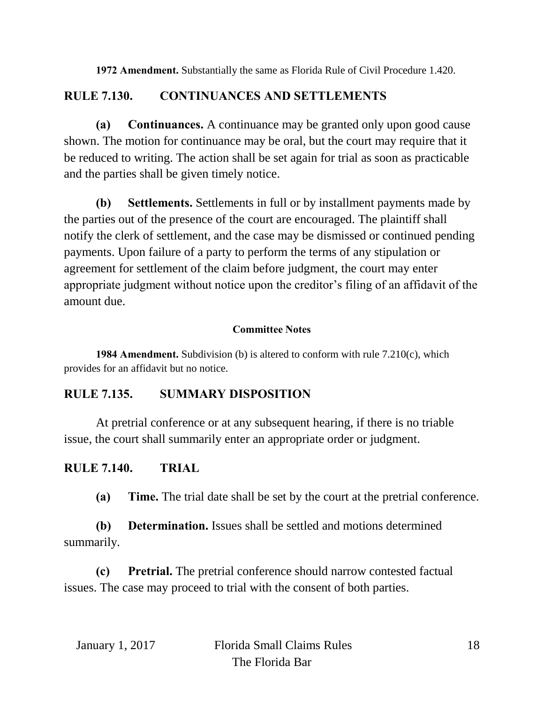1972 Amendment. Substantially the same as Florida Rule of Civil Procedure 1.420.

# <span id="page-17-0"></span>RULE 7.130. CONTINUANCES AND SETTLEMENTS

(a) Continuances. A continuance may be granted only upon good cause shown. The motion for continuance may be oral, but the court may require that it be reduced to writing. The action shall be set again for trial as soon as practicable and the parties shall be given timely notice.

(b) Settlements. Settlements in full or by installment payments made by the parties out of the presence of the court are encouraged. The plaintiff shall notify the clerk of settlement, and the case may be dismissed or continued pending payments. Upon failure of a party to perform the terms of any stipulation or agreement for settlement of the claim before judgment, the court may enter appropriate judgment without notice upon the creditor's filing of an affidavit of the amount due.

## Committee Notes

**1984 Amendment.** Subdivision (b) is altered to conform with rule  $7.210(c)$ , which provides for an affidavit but no notice.

# <span id="page-17-1"></span>RULE 7.135. SUMMARY DISPOSITION

At pretrial conference or at any subsequent hearing, if there is no triable issue, the court shall summarily enter an appropriate order or judgment.

# <span id="page-17-2"></span>RULE 7.140. TRIAL

(a) Time. The trial date shall be set by the court at the pretrial conference.

(b) Determination. Issues shall be settled and motions determined summarily.

(c) Pretrial. The pretrial conference should narrow contested factual issues. The case may proceed to trial with the consent of both parties.

January 1, 2017 Florida Small Claims Rules 18 The Florida Bar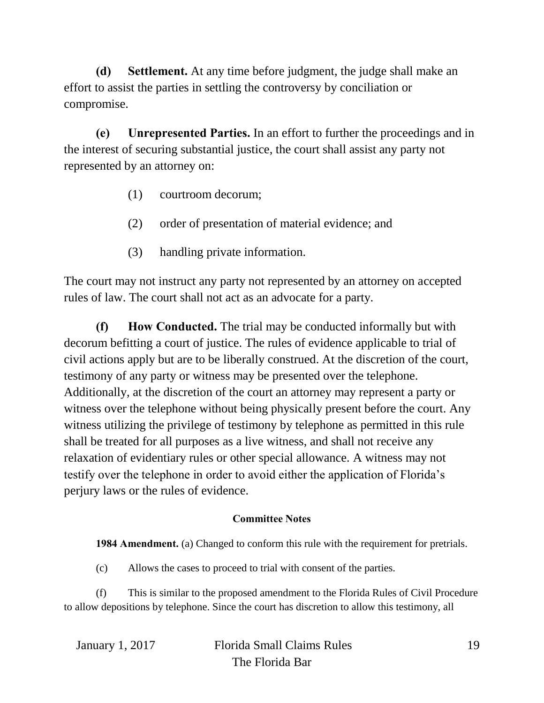(d) Settlement. At any time before judgment, the judge shall make an effort to assist the parties in settling the controversy by conciliation or compromise.

(e) Unrepresented Parties. In an effort to further the proceedings and in the interest of securing substantial justice, the court shall assist any party not represented by an attorney on:

- (1) courtroom decorum;
- (2) order of presentation of material evidence; and
- (3) handling private information.

The court may not instruct any party not represented by an attorney on accepted rules of law. The court shall not act as an advocate for a party.

(f) How Conducted. The trial may be conducted informally but with decorum befitting a court of justice. The rules of evidence applicable to trial of civil actions apply but are to be liberally construed. At the discretion of the court, testimony of any party or witness may be presented over the telephone. Additionally, at the discretion of the court an attorney may represent a party or witness over the telephone without being physically present before the court. Any witness utilizing the privilege of testimony by telephone as permitted in this rule shall be treated for all purposes as a live witness, and shall not receive any relaxation of evidentiary rules or other special allowance. A witness may not testify over the telephone in order to avoid either the application of Florida's perjury laws or the rules of evidence.

## Committee Notes

1984 Amendment. (a) Changed to conform this rule with the requirement for pretrials.

(c) Allows the cases to proceed to trial with consent of the parties.

(f) This is similar to the proposed amendment to the Florida Rules of Civil Procedure to allow depositions by telephone. Since the court has discretion to allow this testimony, all

| January 1, 2017 | <b>Florida Small Claims Rules</b> | 19 |
|-----------------|-----------------------------------|----|
|                 | The Florida Bar                   |    |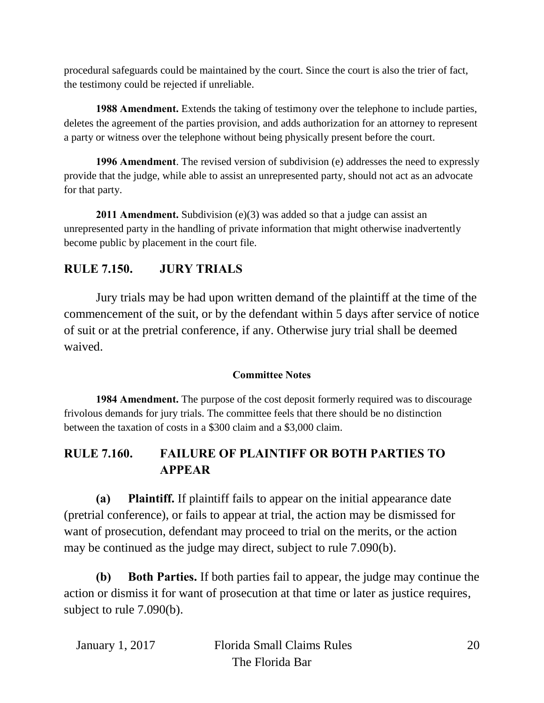procedural safeguards could be maintained by the court. Since the court is also the trier of fact, the testimony could be rejected if unreliable.

1988 Amendment. Extends the taking of testimony over the telephone to include parties, deletes the agreement of the parties provision, and adds authorization for an attorney to represent a party or witness over the telephone without being physically present before the court.

1996 Amendment. The revised version of subdivision (e) addresses the need to expressly provide that the judge, while able to assist an unrepresented party, should not act as an advocate for that party.

**2011 Amendment.** Subdivision  $(e)(3)$  was added so that a judge can assist an unrepresented party in the handling of private information that might otherwise inadvertently become public by placement in the court file.

# <span id="page-19-0"></span>RULE 7.150. JURY TRIALS

Jury trials may be had upon written demand of the plaintiff at the time of the commencement of the suit, or by the defendant within 5 days after service of notice of suit or at the pretrial conference, if any. Otherwise jury trial shall be deemed waived.

## Committee Notes

1984 Amendment. The purpose of the cost deposit formerly required was to discourage frivolous demands for jury trials. The committee feels that there should be no distinction between the taxation of costs in a \$300 claim and a \$3,000 claim.

# <span id="page-19-1"></span>RULE 7.160. FAILURE OF PLAINTIFF OR BOTH PARTIES TO APPEAR

(a) Plaintiff. If plaintiff fails to appear on the initial appearance date (pretrial conference), or fails to appear at trial, the action may be dismissed for want of prosecution, defendant may proceed to trial on the merits, or the action may be continued as the judge may direct, subject to rule 7.090(b).

(b) Both Parties. If both parties fail to appear, the judge may continue the action or dismiss it for want of prosecution at that time or later as justice requires, subject to rule 7.090(b).

| January 1, 2017 | Florida Small Claims Rules | 20 |
|-----------------|----------------------------|----|
|                 | The Florida Bar            |    |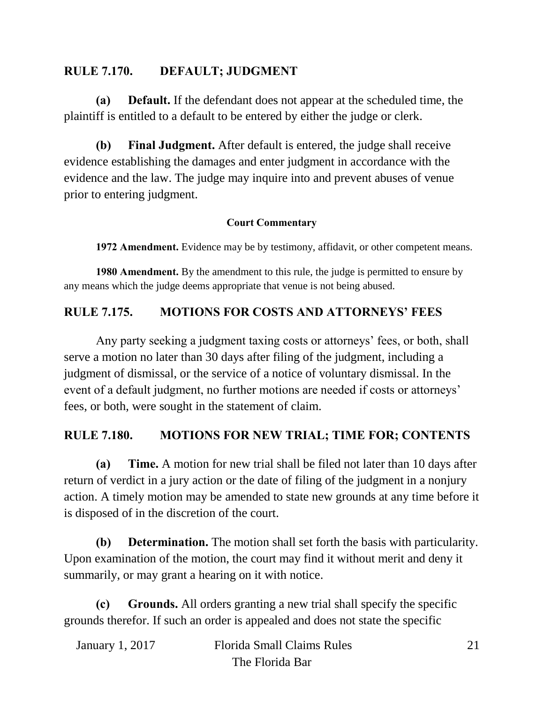# <span id="page-20-0"></span>RULE 7.170. DEFAULT; JUDGMENT

(a) Default. If the defendant does not appear at the scheduled time, the plaintiff is entitled to a default to be entered by either the judge or clerk.

(b) Final Judgment. After default is entered, the judge shall receive evidence establishing the damages and enter judgment in accordance with the evidence and the law. The judge may inquire into and prevent abuses of venue prior to entering judgment.

## Court Commentary

1972 Amendment. Evidence may be by testimony, affidavit, or other competent means.

1980 Amendment. By the amendment to this rule, the judge is permitted to ensure by any means which the judge deems appropriate that venue is not being abused.

# <span id="page-20-1"></span>RULE 7.175. MOTIONS FOR COSTS AND ATTORNEYS' FEES

Any party seeking a judgment taxing costs or attorneys' fees, or both, shall serve a motion no later than 30 days after filing of the judgment, including a judgment of dismissal, or the service of a notice of voluntary dismissal. In the event of a default judgment, no further motions are needed if costs or attorneys' fees, or both, were sought in the statement of claim.

# <span id="page-20-2"></span>RULE 7.180. MOTIONS FOR NEW TRIAL; TIME FOR; CONTENTS

(a) Time. A motion for new trial shall be filed not later than 10 days after return of verdict in a jury action or the date of filing of the judgment in a nonjury action. A timely motion may be amended to state new grounds at any time before it is disposed of in the discretion of the court.

(b) Determination. The motion shall set forth the basis with particularity. Upon examination of the motion, the court may find it without merit and deny it summarily, or may grant a hearing on it with notice.

(c) Grounds. All orders granting a new trial shall specify the specific grounds therefor. If such an order is appealed and does not state the specific

| January 1, 2017 | <b>Florida Small Claims Rules</b> |  |
|-----------------|-----------------------------------|--|
|                 | The Florida Bar                   |  |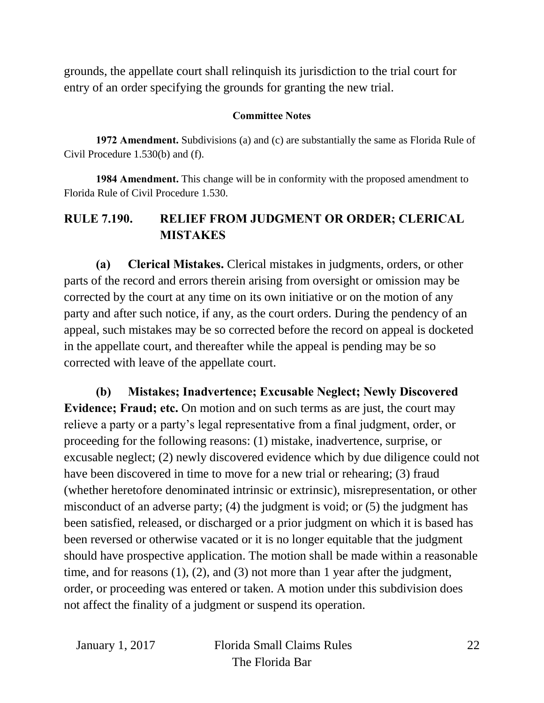grounds, the appellate court shall relinquish its jurisdiction to the trial court for entry of an order specifying the grounds for granting the new trial.

#### Committee Notes

1972 Amendment. Subdivisions (a) and (c) are substantially the same as Florida Rule of Civil Procedure 1.530(b) and (f).

1984 Amendment. This change will be in conformity with the proposed amendment to Florida Rule of Civil Procedure 1.530.

# <span id="page-21-0"></span>RULE 7.190. RELIEF FROM JUDGMENT OR ORDER; CLERICAL **MISTAKES**

(a) Clerical Mistakes. Clerical mistakes in judgments, orders, or other parts of the record and errors therein arising from oversight or omission may be corrected by the court at any time on its own initiative or on the motion of any party and after such notice, if any, as the court orders. During the pendency of an appeal, such mistakes may be so corrected before the record on appeal is docketed in the appellate court, and thereafter while the appeal is pending may be so corrected with leave of the appellate court.

(b) Mistakes; Inadvertence; Excusable Neglect; Newly Discovered Evidence; Fraud; etc. On motion and on such terms as are just, the court may relieve a party or a party's legal representative from a final judgment, order, or proceeding for the following reasons: (1) mistake, inadvertence, surprise, or excusable neglect; (2) newly discovered evidence which by due diligence could not have been discovered in time to move for a new trial or rehearing; (3) fraud (whether heretofore denominated intrinsic or extrinsic), misrepresentation, or other misconduct of an adverse party; (4) the judgment is void; or (5) the judgment has been satisfied, released, or discharged or a prior judgment on which it is based has been reversed or otherwise vacated or it is no longer equitable that the judgment should have prospective application. The motion shall be made within a reasonable time, and for reasons (1), (2), and (3) not more than 1 year after the judgment, order, or proceeding was entered or taken. A motion under this subdivision does not affect the finality of a judgment or suspend its operation.

January 1, 2017 Florida Small Claims Rules 22 The Florida Bar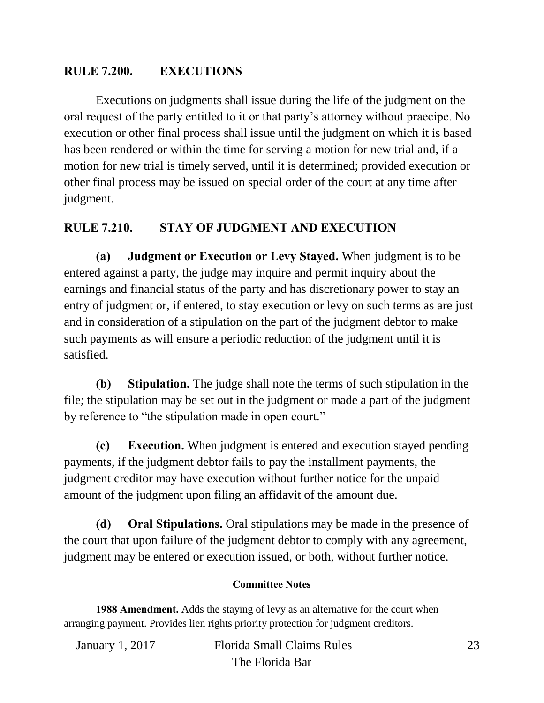## <span id="page-22-0"></span>RULE 7.200. EXECUTIONS

Executions on judgments shall issue during the life of the judgment on the oral request of the party entitled to it or that party's attorney without praecipe. No execution or other final process shall issue until the judgment on which it is based has been rendered or within the time for serving a motion for new trial and, if a motion for new trial is timely served, until it is determined; provided execution or other final process may be issued on special order of the court at any time after judgment.

## <span id="page-22-1"></span>RULE 7.210. STAY OF JUDGMENT AND EXECUTION

(a) Judgment or Execution or Levy Stayed. When judgment is to be entered against a party, the judge may inquire and permit inquiry about the earnings and financial status of the party and has discretionary power to stay an entry of judgment or, if entered, to stay execution or levy on such terms as are just and in consideration of a stipulation on the part of the judgment debtor to make such payments as will ensure a periodic reduction of the judgment until it is satisfied.

(b) Stipulation. The judge shall note the terms of such stipulation in the file; the stipulation may be set out in the judgment or made a part of the judgment by reference to "the stipulation made in open court."

(c) Execution. When judgment is entered and execution stayed pending payments, if the judgment debtor fails to pay the installment payments, the judgment creditor may have execution without further notice for the unpaid amount of the judgment upon filing an affidavit of the amount due.

(d) Oral Stipulations. Oral stipulations may be made in the presence of the court that upon failure of the judgment debtor to comply with any agreement, judgment may be entered or execution issued, or both, without further notice.

#### Committee Notes

1988 Amendment. Adds the staying of levy as an alternative for the court when arranging payment. Provides lien rights priority protection for judgment creditors.

| January 1, 2017 | <b>Florida Small Claims Rules</b> | 23 |
|-----------------|-----------------------------------|----|
|                 | The Florida Bar                   |    |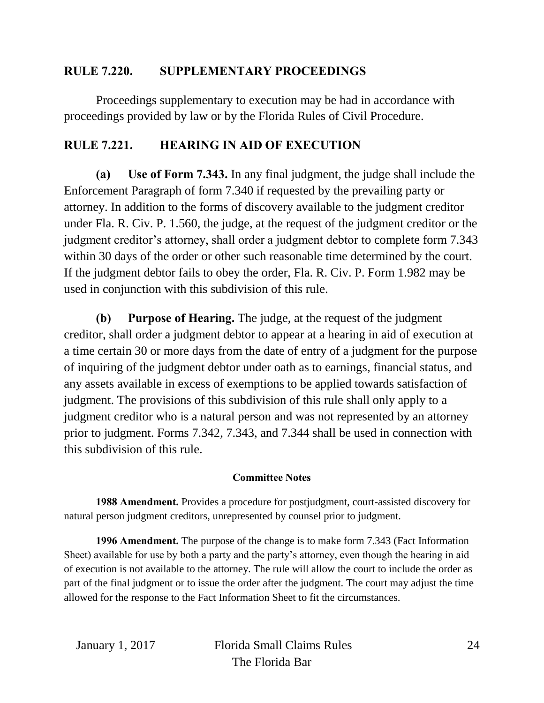# <span id="page-23-0"></span>RULE 7.220. SUPPLEMENTARY PROCEEDINGS

Proceedings supplementary to execution may be had in accordance with proceedings provided by law or by the Florida Rules of Civil Procedure.

# <span id="page-23-1"></span>RULE 7.221. HEARING IN AID OF EXECUTION

(a) Use of Form 7.343. In any final judgment, the judge shall include the Enforcement Paragraph of form 7.340 if requested by the prevailing party or attorney. In addition to the forms of discovery available to the judgment creditor under Fla. R. Civ. P. 1.560, the judge, at the request of the judgment creditor or the judgment creditor's attorney, shall order a judgment debtor to complete form 7.343 within 30 days of the order or other such reasonable time determined by the court. If the judgment debtor fails to obey the order, Fla. R. Civ. P. Form 1.982 may be used in conjunction with this subdivision of this rule.

(b) Purpose of Hearing. The judge, at the request of the judgment creditor, shall order a judgment debtor to appear at a hearing in aid of execution at a time certain 30 or more days from the date of entry of a judgment for the purpose of inquiring of the judgment debtor under oath as to earnings, financial status, and any assets available in excess of exemptions to be applied towards satisfaction of judgment. The provisions of this subdivision of this rule shall only apply to a judgment creditor who is a natural person and was not represented by an attorney prior to judgment. Forms 7.342, 7.343, and 7.344 shall be used in connection with this subdivision of this rule.

## Committee Notes

1988 Amendment. Provides a procedure for postjudgment, court-assisted discovery for natural person judgment creditors, unrepresented by counsel prior to judgment.

1996 Amendment. The purpose of the change is to make form 7.343 (Fact Information Sheet) available for use by both a party and the party's attorney, even though the hearing in aid of execution is not available to the attorney. The rule will allow the court to include the order as part of the final judgment or to issue the order after the judgment. The court may adjust the time allowed for the response to the Fact Information Sheet to fit the circumstances.

January 1, 2017 Florida Small Claims Rules 24 The Florida Bar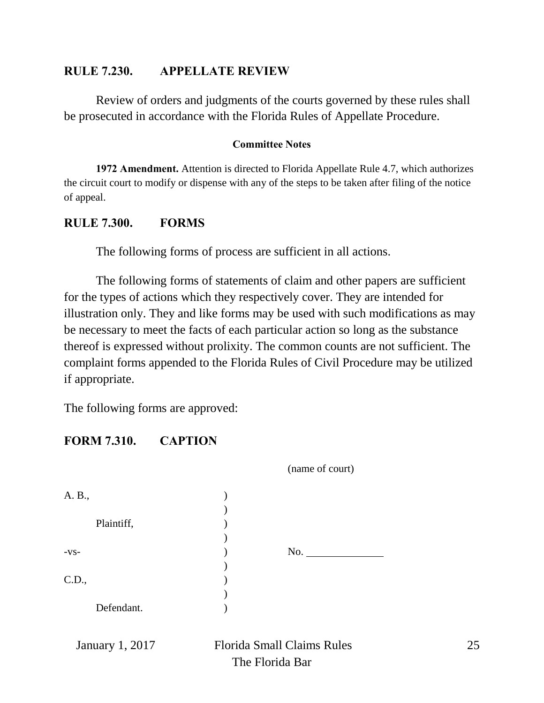## <span id="page-24-0"></span>RULE 7.230. APPELLATE REVIEW

Review of orders and judgments of the courts governed by these rules shall be prosecuted in accordance with the Florida Rules of Appellate Procedure.

#### Committee Notes

1972 Amendment. Attention is directed to Florida Appellate Rule 4.7, which authorizes the circuit court to modify or dispense with any of the steps to be taken after filing of the notice of appeal.

## <span id="page-24-1"></span>RULE 7.300. FORMS

The following forms of process are sufficient in all actions.

The following forms of statements of claim and other papers are sufficient for the types of actions which they respectively cover. They are intended for illustration only. They and like forms may be used with such modifications as may be necessary to meet the facts of each particular action so long as the substance thereof is expressed without prolixity. The common counts are not sufficient. The complaint forms appended to the Florida Rules of Civil Procedure may be utilized if appropriate.

The following forms are approved:

## <span id="page-24-2"></span>FORM 7.310. CAPTION

|        |            | (name of court) |
|--------|------------|-----------------|
| A. B., |            |                 |
|        |            |                 |
|        | Plaintiff, |                 |
|        |            |                 |
| $-VS-$ |            | No.             |
|        |            |                 |
| C.D.,  |            |                 |
|        |            |                 |
|        | Defendant. |                 |
|        |            |                 |
|        |            |                 |

January 1, 2017 Florida Small Claims Rules 25 The Florida Bar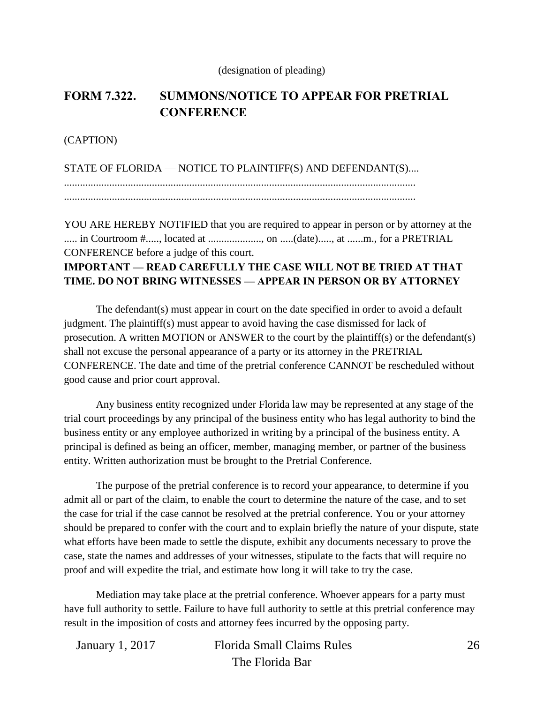(designation of pleading)

# <span id="page-25-0"></span>FORM 7.322. SUMMONS/NOTICE TO APPEAR FOR PRETRIAL **CONFERENCE**

(CAPTION)

STATE OF FLORIDA — NOTICE TO PLAINTIFF(S) AND DEFENDANT(S)....

....................................................................................................................................

....................................................................................................................................

YOU ARE HEREBY NOTIFIED that you are required to appear in person or by attorney at the ..... in Courtroom #....., located at ...................., on .....(date)....., at ......m., for a PRETRIAL CONFERENCE before a judge of this court. IMPORTANT — READ CAREFULLY THE CASE WILL NOT BE TRIED AT THAT

# TIME. DO NOT BRING WITNESSES — APPEAR IN PERSON OR BY ATTORNEY

The defendant(s) must appear in court on the date specified in order to avoid a default judgment. The plaintiff(s) must appear to avoid having the case dismissed for lack of prosecution. A written MOTION or ANSWER to the court by the plaintiff(s) or the defendant(s) shall not excuse the personal appearance of a party or its attorney in the PRETRIAL CONFERENCE. The date and time of the pretrial conference CANNOT be rescheduled without good cause and prior court approval.

Any business entity recognized under Florida law may be represented at any stage of the trial court proceedings by any principal of the business entity who has legal authority to bind the business entity or any employee authorized in writing by a principal of the business entity. A principal is defined as being an officer, member, managing member, or partner of the business entity. Written authorization must be brought to the Pretrial Conference.

The purpose of the pretrial conference is to record your appearance, to determine if you admit all or part of the claim, to enable the court to determine the nature of the case, and to set the case for trial if the case cannot be resolved at the pretrial conference. You or your attorney should be prepared to confer with the court and to explain briefly the nature of your dispute, state what efforts have been made to settle the dispute, exhibit any documents necessary to prove the case, state the names and addresses of your witnesses, stipulate to the facts that will require no proof and will expedite the trial, and estimate how long it will take to try the case.

Mediation may take place at the pretrial conference. Whoever appears for a party must have full authority to settle. Failure to have full authority to settle at this pretrial conference may result in the imposition of costs and attorney fees incurred by the opposing party.

| January 1, 2017 | <b>Florida Small Claims Rules</b> | 26 |
|-----------------|-----------------------------------|----|
|                 | The Florida Bar                   |    |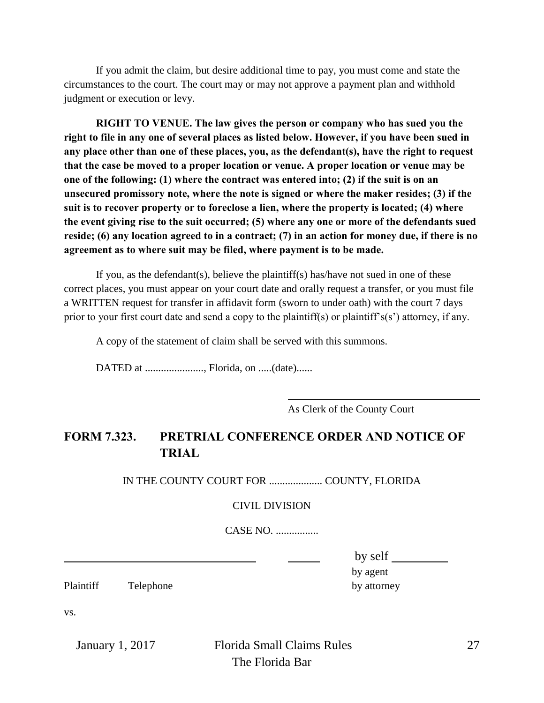If you admit the claim, but desire additional time to pay, you must come and state the circumstances to the court. The court may or may not approve a payment plan and withhold judgment or execution or levy.

RIGHT TO VENUE. The law gives the person or company who has sued you the right to file in any one of several places as listed below. However, if you have been sued in any place other than one of these places, you, as the defendant(s), have the right to request that the case be moved to a proper location or venue. A proper location or venue may be one of the following: (1) where the contract was entered into; (2) if the suit is on an unsecured promissory note, where the note is signed or where the maker resides; (3) if the suit is to recover property or to foreclose a lien, where the property is located; (4) where the event giving rise to the suit occurred; (5) where any one or more of the defendants sued reside; (6) any location agreed to in a contract; (7) in an action for money due, if there is no agreement as to where suit may be filed, where payment is to be made.

If you, as the defendant(s), believe the plaintiff(s) has/have not sued in one of these correct places, you must appear on your court date and orally request a transfer, or you must file a WRITTEN request for transfer in affidavit form (sworn to under oath) with the court 7 days prior to your first court date and send a copy to the plaintiff(s) or plaintiff's(s') attorney, if any.

A copy of the statement of claim shall be served with this summons.

DATED at ......................, Florida, on .....(date)......

As Clerk of the County Court

# <span id="page-26-0"></span>FORM 7.323. PRETRIAL CONFERENCE ORDER AND NOTICE OF TRIAL

IN THE COUNTY COURT FOR .................... COUNTY, FLORIDA

#### CIVIL DIVISION

CASE NO. ................

Plaintiff Telephone by attorney

by self by agent

vs.

January 1, 2017 Florida Small Claims Rules 27 The Florida Bar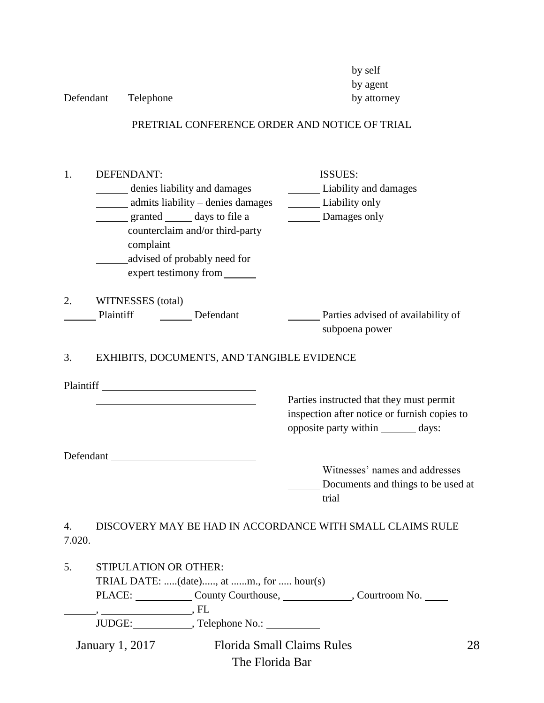| Defendant    | Telephone                                                                                                                                                                                                                  | by self<br>by agent<br>by attorney                                                                                              |
|--------------|----------------------------------------------------------------------------------------------------------------------------------------------------------------------------------------------------------------------------|---------------------------------------------------------------------------------------------------------------------------------|
|              |                                                                                                                                                                                                                            | PRETRIAL CONFERENCE ORDER AND NOTICE OF TRIAL                                                                                   |
| 1.           | DEFENDANT:<br>denies liability and damages<br>admits liability – denies damages<br>granted _______ days to file a<br>counterclaim and/or third-party<br>complaint<br>advised of probably need for<br>expert testimony from | <b>ISSUES:</b><br>Liability and damages<br>Liability only<br>Damages only                                                       |
| 2.           | WITNESSES (total)<br>Plaintiff Defendant                                                                                                                                                                                   | Parties advised of availability of<br>subpoena power                                                                            |
| 3.           | EXHIBITS, DOCUMENTS, AND TANGIBLE EVIDENCE                                                                                                                                                                                 |                                                                                                                                 |
|              |                                                                                                                                                                                                                            |                                                                                                                                 |
|              | <u> 1989 - Johann Barnett, fransk politiker (d. 1989)</u>                                                                                                                                                                  | Parties instructed that they must permit<br>inspection after notice or furnish copies to<br>opposite party within _______ days: |
| Defendant    |                                                                                                                                                                                                                            | Witnesses' names and addresses<br>Documents and things to be used at<br>trial                                                   |
| 4.<br>7.020. |                                                                                                                                                                                                                            | DISCOVERY MAY BE HAD IN ACCORDANCE WITH SMALL CLAIMS RULE                                                                       |
| 5.           | STIPULATION OR OTHER:<br>TRIAL DATE: (date), at m., for  hour(s)<br>$\cdot$ EL<br>JUDGE: _____________, Telephone No.: _____________                                                                                       | PLACE: County Courthouse, Courtroom No.                                                                                         |
|              | <b>January 1, 2017</b>                                                                                                                                                                                                     | <b>Florida Small Claims Rules</b><br>28<br>The Florida Bar                                                                      |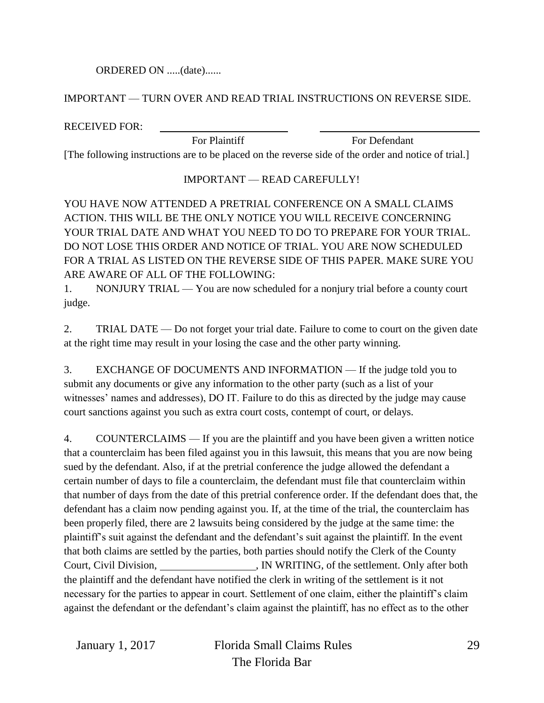ORDERED ON .....(date)......

## IMPORTANT — TURN OVER AND READ TRIAL INSTRUCTIONS ON REVERSE SIDE.

## RECEIVED FOR:

For Plaintiff For Defendant

[The following instructions are to be placed on the reverse side of the order and notice of trial.]

## IMPORTANT — READ CAREFULLY!

YOU HAVE NOW ATTENDED A PRETRIAL CONFERENCE ON A SMALL CLAIMS ACTION. THIS WILL BE THE ONLY NOTICE YOU WILL RECEIVE CONCERNING YOUR TRIAL DATE AND WHAT YOU NEED TO DO TO PREPARE FOR YOUR TRIAL. DO NOT LOSE THIS ORDER AND NOTICE OF TRIAL. YOU ARE NOW SCHEDULED FOR A TRIAL AS LISTED ON THE REVERSE SIDE OF THIS PAPER. MAKE SURE YOU ARE AWARE OF ALL OF THE FOLLOWING:

1. NONJURY TRIAL — You are now scheduled for a nonjury trial before a county court judge.

2. TRIAL DATE — Do not forget your trial date. Failure to come to court on the given date at the right time may result in your losing the case and the other party winning.

3. EXCHANGE OF DOCUMENTS AND INFORMATION — If the judge told you to submit any documents or give any information to the other party (such as a list of your witnesses' names and addresses), DO IT. Failure to do this as directed by the judge may cause court sanctions against you such as extra court costs, contempt of court, or delays.

4. COUNTERCLAIMS — If you are the plaintiff and you have been given a written notice that a counterclaim has been filed against you in this lawsuit, this means that you are now being sued by the defendant. Also, if at the pretrial conference the judge allowed the defendant a certain number of days to file a counterclaim, the defendant must file that counterclaim within that number of days from the date of this pretrial conference order. If the defendant does that, the defendant has a claim now pending against you. If, at the time of the trial, the counterclaim has been properly filed, there are 2 lawsuits being considered by the judge at the same time: the plaintiff's suit against the defendant and the defendant's suit against the plaintiff. In the event that both claims are settled by the parties, both parties should notify the Clerk of the County Court, Civil Division, MED 1988 METING, of the settlement. Only after both the plaintiff and the defendant have notified the clerk in writing of the settlement is it not necessary for the parties to appear in court. Settlement of one claim, either the plaintiff's claim against the defendant or the defendant's claim against the plaintiff, has no effect as to the other

January 1, 2017 Florida Small Claims Rules 29 The Florida Bar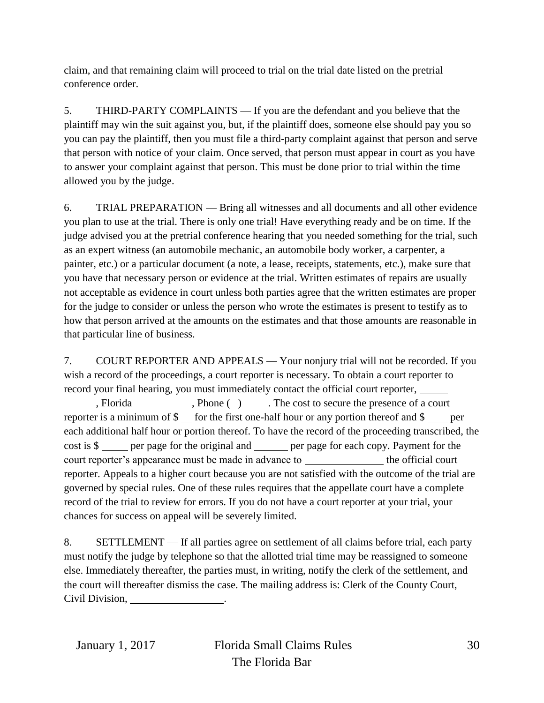claim, and that remaining claim will proceed to trial on the trial date listed on the pretrial conference order.

5. THIRD-PARTY COMPLAINTS — If you are the defendant and you believe that the plaintiff may win the suit against you, but, if the plaintiff does, someone else should pay you so you can pay the plaintiff, then you must file a third-party complaint against that person and serve that person with notice of your claim. Once served, that person must appear in court as you have to answer your complaint against that person. This must be done prior to trial within the time allowed you by the judge.

6. TRIAL PREPARATION — Bring all witnesses and all documents and all other evidence you plan to use at the trial. There is only one trial! Have everything ready and be on time. If the judge advised you at the pretrial conference hearing that you needed something for the trial, such as an expert witness (an automobile mechanic, an automobile body worker, a carpenter, a painter, etc.) or a particular document (a note, a lease, receipts, statements, etc.), make sure that you have that necessary person or evidence at the trial. Written estimates of repairs are usually not acceptable as evidence in court unless both parties agree that the written estimates are proper for the judge to consider or unless the person who wrote the estimates is present to testify as to how that person arrived at the amounts on the estimates and that those amounts are reasonable in that particular line of business.

7. COURT REPORTER AND APPEALS — Your nonjury trial will not be recorded. If you wish a record of the proceedings, a court reporter is necessary. To obtain a court reporter to record your final hearing, you must immediately contact the official court reporter, , Florida , Phone ( ) . The cost to secure the presence of a court reporter is a minimum of  $\$\$  for the first one-half hour or any portion thereof and  $\$\$  per each additional half hour or portion thereof. To have the record of the proceeding transcribed, the cost is \$ per page for the original and per page for each copy. Payment for the court reporter's appearance must be made in advance to the official court reporter. Appeals to a higher court because you are not satisfied with the outcome of the trial are governed by special rules. One of these rules requires that the appellate court have a complete record of the trial to review for errors. If you do not have a court reporter at your trial, your chances for success on appeal will be severely limited.

8. SETTLEMENT — If all parties agree on settlement of all claims before trial, each party must notify the judge by telephone so that the allotted trial time may be reassigned to someone else. Immediately thereafter, the parties must, in writing, notify the clerk of the settlement, and the court will thereafter dismiss the case. The mailing address is: Clerk of the County Court, Civil Division, .

January 1, 2017 Florida Small Claims Rules 30 The Florida Bar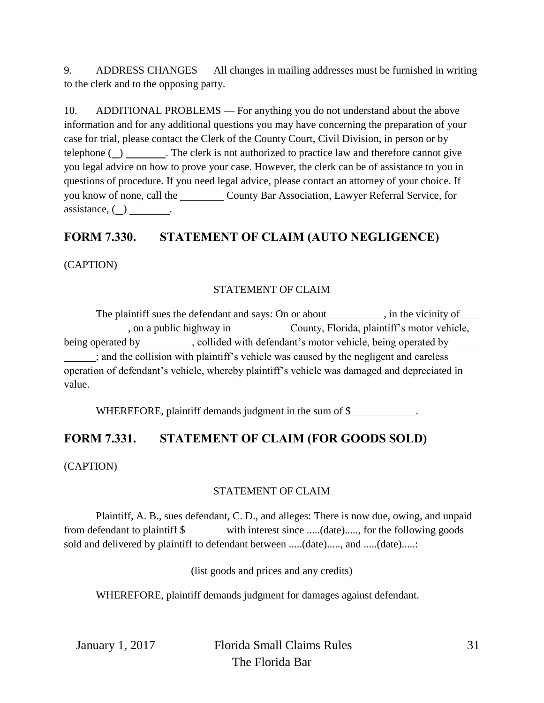9. ADDRESS CHANGES — All changes in mailing addresses must be furnished in writing to the clerk and to the opposing party.

10. ADDITIONAL PROBLEMS — For anything you do not understand about the above information and for any additional questions you may have concerning the preparation of your case for trial, please contact the Clerk of the County Court, Civil Division, in person or by telephone  $\bigcirc$  . The clerk is not authorized to practice law and therefore cannot give you legal advice on how to prove your case. However, the clerk can be of assistance to you in questions of procedure. If you need legal advice, please contact an attorney of your choice. If you know of none, call the County Bar Association, Lawyer Referral Service, for assistance,  $( )$  .

## <span id="page-30-0"></span>FORM 7.330. STATEMENT OF CLAIM (AUTO NEGLIGENCE)

(CAPTION)

#### STATEMENT OF CLAIM

The plaintiff sues the defendant and says: On or about , in the vicinity of , on a public highway in County, Florida, plaintiff's motor vehicle, being operated by , collided with defendant's motor vehicle, being operated by ; and the collision with plaintiff's vehicle was caused by the negligent and careless operation of defendant's vehicle, whereby plaintiff's vehicle was damaged and depreciated in value.

WHEREFORE, plaintiff demands judgment in the sum of \$

# <span id="page-30-1"></span>FORM 7.331. STATEMENT OF CLAIM (FOR GOODS SOLD)

(CAPTION)

## STATEMENT OF CLAIM

Plaintiff, A. B., sues defendant, C. D., and alleges: There is now due, owing, and unpaid from defendant to plaintiff \$ with interest since .....(date)....., for the following goods sold and delivered by plaintiff to defendant between .....(date)....., and .....(date).....:

(list goods and prices and any credits)

WHEREFORE, plaintiff demands judgment for damages against defendant.

January 1, 2017 Florida Small Claims Rules 31 The Florida Bar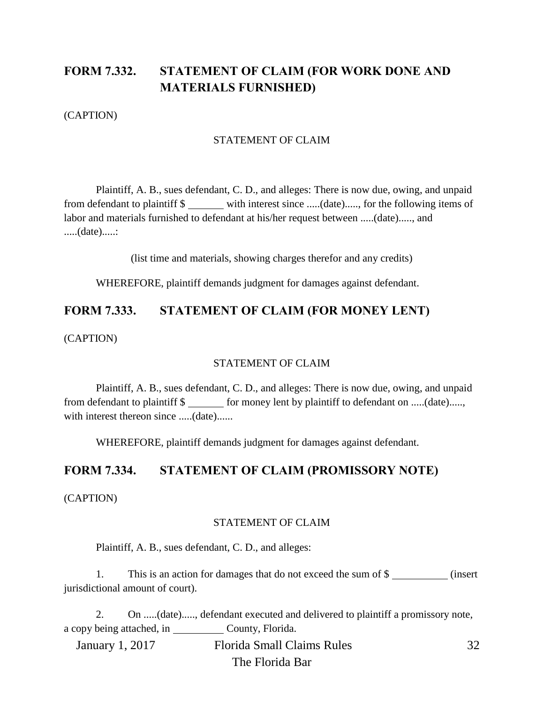# <span id="page-31-0"></span>FORM 7.332. STATEMENT OF CLAIM (FOR WORK DONE AND MATERIALS FURNISHED)

(CAPTION)

#### STATEMENT OF CLAIM

Plaintiff, A. B., sues defendant, C. D., and alleges: There is now due, owing, and unpaid from defendant to plaintiff \$ with interest since .....(date)....., for the following items of labor and materials furnished to defendant at his/her request between .....(date)....., and .....(date).....:

(list time and materials, showing charges therefor and any credits)

WHEREFORE, plaintiff demands judgment for damages against defendant.

## <span id="page-31-1"></span>FORM 7.333. STATEMENT OF CLAIM (FOR MONEY LENT)

(CAPTION)

#### STATEMENT OF CLAIM

Plaintiff, A. B., sues defendant, C. D., and alleges: There is now due, owing, and unpaid from defendant to plaintiff \$ for money lent by plaintiff to defendant on .....(date)....., with interest thereon since .....(date)......

WHEREFORE, plaintiff demands judgment for damages against defendant.

## <span id="page-31-2"></span>FORM 7.334. STATEMENT OF CLAIM (PROMISSORY NOTE)

(CAPTION)

#### STATEMENT OF CLAIM

Plaintiff, A. B., sues defendant, C. D., and alleges:

1. This is an action for damages that do not exceed the sum of \$ (insert jurisdictional amount of court).

2. On .....(date)....., defendant executed and delivered to plaintiff a promissory note, a copy being attached, in County, Florida.

| <b>January 1, 2017</b> | <b>Florida Small Claims Rules</b> |  |
|------------------------|-----------------------------------|--|
|                        | The Florida Bar                   |  |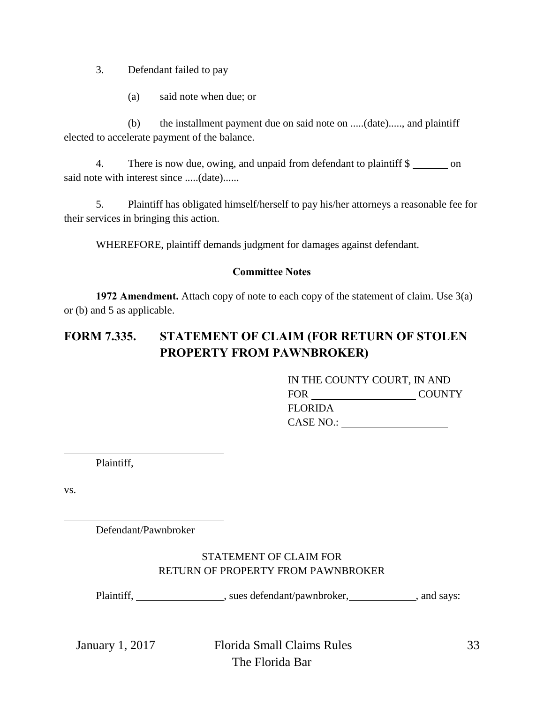3. Defendant failed to pay

(a) said note when due; or

(b) the installment payment due on said note on .....(date)....., and plaintiff elected to accelerate payment of the balance.

4. There is now due, owing, and unpaid from defendant to plaintiff \$ on said note with interest since .....(date)......

5. Plaintiff has obligated himself/herself to pay his/her attorneys a reasonable fee for their services in bringing this action.

WHEREFORE, plaintiff demands judgment for damages against defendant.

#### Committee Notes

1972 Amendment. Attach copy of note to each copy of the statement of claim. Use  $3(a)$ or (b) and 5 as applicable.

# <span id="page-32-0"></span>FORM 7.335. STATEMENT OF CLAIM (FOR RETURN OF STOLEN PROPERTY FROM PAWNBROKER)

|                | IN THE COUNTY COURT, IN AND |
|----------------|-----------------------------|
| <b>FOR</b>     | <b>COUNTY</b>               |
| <b>FLORIDA</b> |                             |
| CASE NO.:      |                             |

Plaintiff,

vs.

Defendant/Pawnbroker

## STATEMENT OF CLAIM FOR RETURN OF PROPERTY FROM PAWNBROKER

Plaintiff, , sues defendant/pawnbroker, , and says:

January 1, 2017 Florida Small Claims Rules 33 The Florida Bar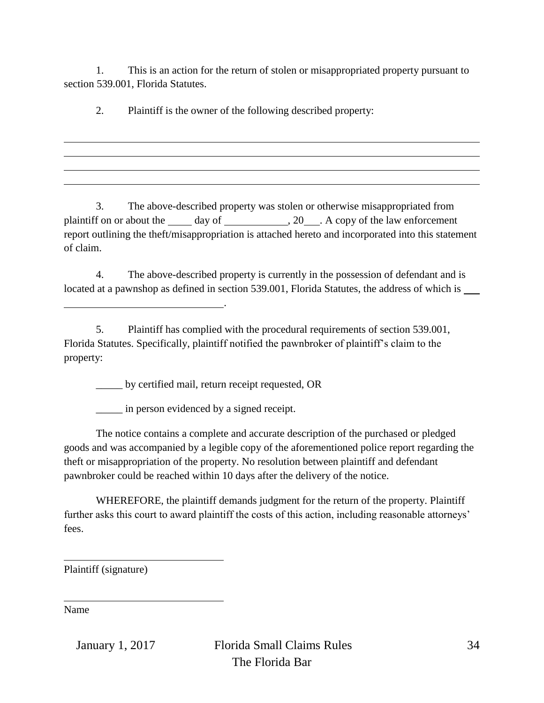1. This is an action for the return of stolen or misappropriated property pursuant to section 539.001, Florida Statutes.

2. Plaintiff is the owner of the following described property:

3. The above-described property was stolen or otherwise misappropriated from plaintiff on or about the day of , 20 . A copy of the law enforcement report outlining the theft/misappropriation is attached hereto and incorporated into this statement of claim.

4. The above-described property is currently in the possession of defendant and is located at a pawnshop as defined in section 539.001, Florida Statutes, the address of which is

5. Plaintiff has complied with the procedural requirements of section 539.001, Florida Statutes. Specifically, plaintiff notified the pawnbroker of plaintiff's claim to the property:

\_\_\_\_\_ by certified mail, return receipt requested, OR

.

\_\_\_\_\_ in person evidenced by a signed receipt.

The notice contains a complete and accurate description of the purchased or pledged goods and was accompanied by a legible copy of the aforementioned police report regarding the theft or misappropriation of the property. No resolution between plaintiff and defendant pawnbroker could be reached within 10 days after the delivery of the notice.

WHEREFORE, the plaintiff demands judgment for the return of the property. Plaintiff further asks this court to award plaintiff the costs of this action, including reasonable attorneys' fees.

Plaintiff (signature)

Name

January 1, 2017 Florida Small Claims Rules 34 The Florida Bar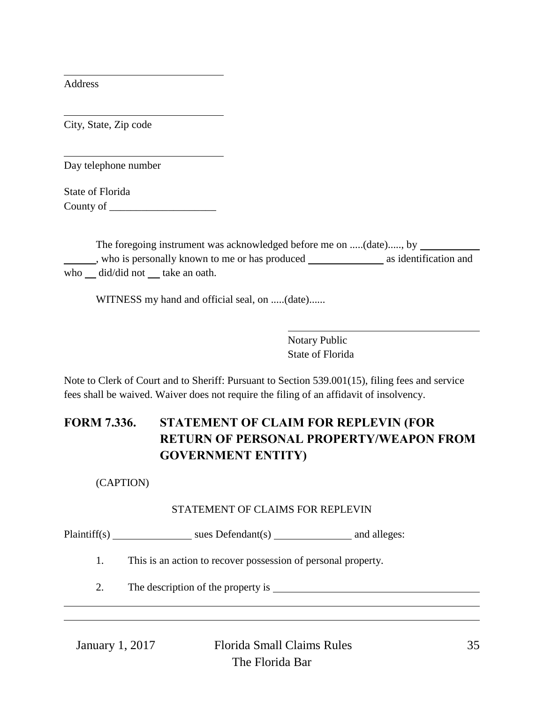Address

City, State, Zip code

Day telephone number

State of Florida County of \_\_\_\_\_\_\_\_\_\_\_\_\_\_\_\_\_\_\_\_

The foregoing instrument was acknowledged before me on .....(date)....., by , who is personally known to me or has produced as identification and who did/did not take an oath.

WITNESS my hand and official seal, on .....(date)......

Notary Public State of Florida

Note to Clerk of Court and to Sheriff: Pursuant to Section 539.001(15), filing fees and service fees shall be waived. Waiver does not require the filing of an affidavit of insolvency.

# <span id="page-34-0"></span>FORM 7.336. STATEMENT OF CLAIM FOR REPLEVIN (FOR RETURN OF PERSONAL PROPERTY/WEAPON FROM GOVERNMENT ENTITY)

(CAPTION)

#### STATEMENT OF CLAIMS FOR REPLEVIN

Plaintiff(s) sues Defendant(s) and alleges:

1. This is an action to recover possession of personal property.

2. The description of the property is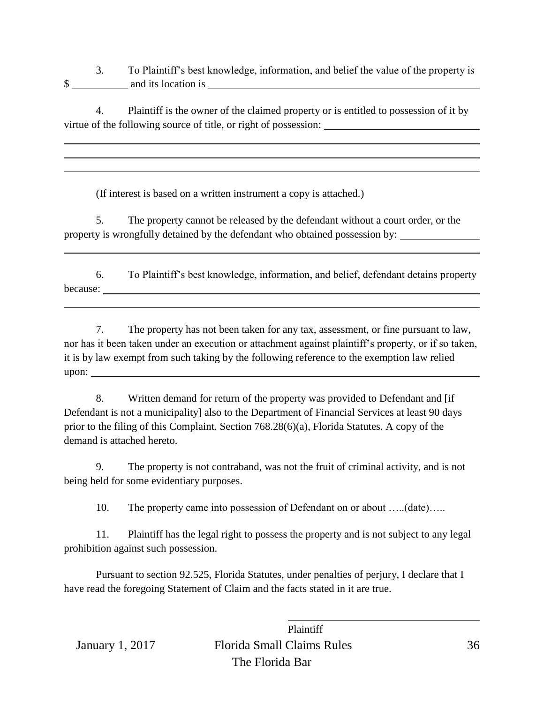3. To Plaintiff's best knowledge, information, and belief the value of the property is \$

4. Plaintiff is the owner of the claimed property or is entitled to possession of it by virtue of the following source of title, or right of possession:

(If interest is based on a written instrument a copy is attached.)

5. The property cannot be released by the defendant without a court order, or the property is wrongfully detained by the defendant who obtained possession by:

6. To Plaintiff's best knowledge, information, and belief, defendant detains property because:

7. The property has not been taken for any tax, assessment, or fine pursuant to law, nor has it been taken under an execution or attachment against plaintiff's property, or if so taken, it is by law exempt from such taking by the following reference to the exemption law relied upon:

8. Written demand for return of the property was provided to Defendant and [if Defendant is not a municipality] also to the Department of Financial Services at least 90 days prior to the filing of this Complaint. Section 768.28(6)(a), Florida Statutes. A copy of the demand is attached hereto.

9. The property is not contraband, was not the fruit of criminal activity, and is not being held for some evidentiary purposes.

10. The property came into possession of Defendant on or about .....(date).....

11. Plaintiff has the legal right to possess the property and is not subject to any legal prohibition against such possession.

Pursuant to section 92.525, Florida Statutes, under penalties of perjury, I declare that I have read the foregoing Statement of Claim and the facts stated in it are true.

January 1, 2017 Florida Small Claims Rules 36 The Florida Bar Plaintiff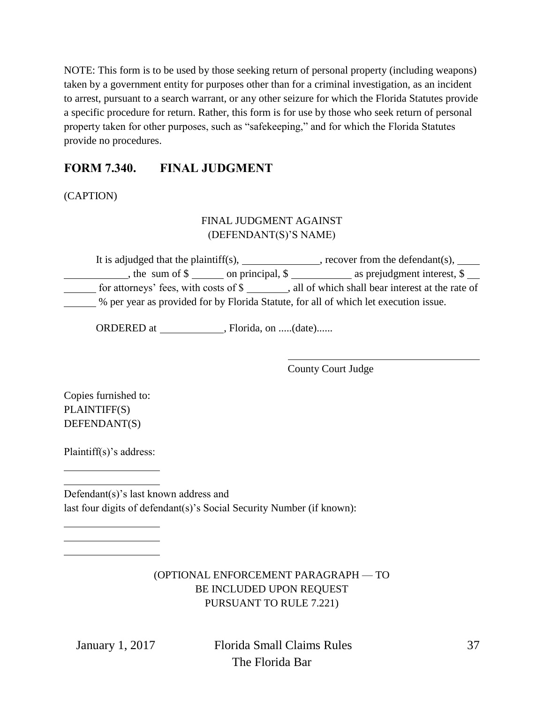NOTE: This form is to be used by those seeking return of personal property (including weapons) taken by a government entity for purposes other than for a criminal investigation, as an incident to arrest, pursuant to a search warrant, or any other seizure for which the Florida Statutes provide a specific procedure for return. Rather, this form is for use by those who seek return of personal property taken for other purposes, such as "safekeeping," and for which the Florida Statutes provide no procedures.

## <span id="page-36-0"></span>FORM 7.340. FINAL JUDGMENT

(CAPTION)

## FINAL JUDGMENT AGAINST (DEFENDANT(S)'S NAME)

It is adjudged that the plaintiff(s),  $\frac{1}{\sqrt{1-\frac{1}{n}}\sqrt{1-\frac{1}{n}}}$ , recover from the defendant(s),  $\frac{1}{\sqrt{1-\frac{1}{n}}\sqrt{1-\frac{1}{n}}}$ , the sum of \$ on principal, \$ as prejudgment interest, \$ for attorneys' fees, with costs of \$ , all of which shall bear interest at the rate of % per year as provided for by Florida Statute, for all of which let execution issue.

ORDERED at \_\_\_\_\_\_\_\_\_\_\_\_, Florida, on .....(date)......

County Court Judge

Copies furnished to: PLAINTIFF(S) DEFENDANT(S)

Plaintiff(s)'s address:

Defendant(s)'s last known address and last four digits of defendant(s)'s Social Security Number (if known):

## (OPTIONAL ENFORCEMENT PARAGRAPH — TO BE INCLUDED UPON REQUEST PURSUANT TO RULE 7.221)

January 1, 2017 Florida Small Claims Rules 37 The Florida Bar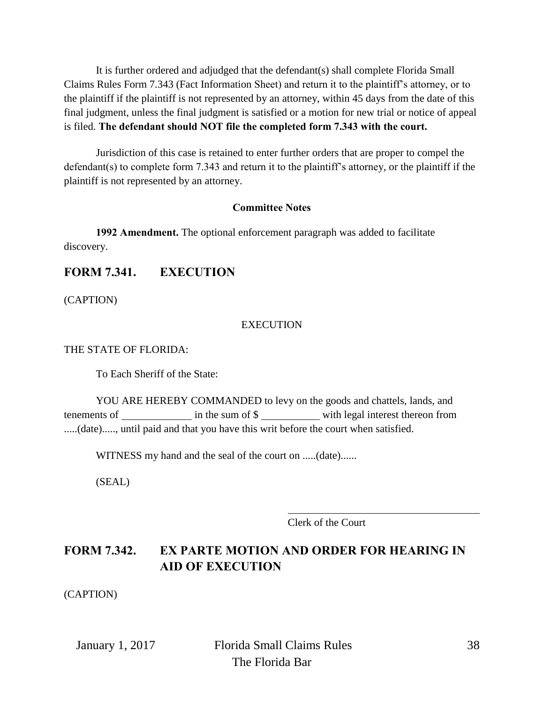It is further ordered and adjudged that the defendant(s) shall complete Florida Small Claims Rules Form 7.343 (Fact Information Sheet) and return it to the plaintiff's attorney, or to the plaintiff if the plaintiff is not represented by an attorney, within 45 days from the date of this final judgment, unless the final judgment is satisfied or a motion for new trial or notice of appeal is filed. The defendant should NOT file the completed form 7.343 with the court.

Jurisdiction of this case is retained to enter further orders that are proper to compel the defendant(s) to complete form 7.343 and return it to the plaintiff's attorney, or the plaintiff if the plaintiff is not represented by an attorney.

#### Committee Notes

1992 Amendment. The optional enforcement paragraph was added to facilitate discovery.

## <span id="page-37-0"></span>FORM 7.341. EXECUTION

(CAPTION)

#### **EXECUTION**

#### THE STATE OF FLORIDA:

To Each Sheriff of the State:

YOU ARE HEREBY COMMANDED to levy on the goods and chattels, lands, and tenements of in the sum of \$ with legal interest thereon from .....(date)....., until paid and that you have this writ before the court when satisfied.

WITNESS my hand and the seal of the court on .....(date)......

(SEAL)

Clerk of the Court

# <span id="page-37-1"></span>FORM 7.342. EX PARTE MOTION AND ORDER FOR HEARING IN AID OF EXECUTION

(CAPTION)

January 1, 2017 Florida Small Claims Rules 38 The Florida Bar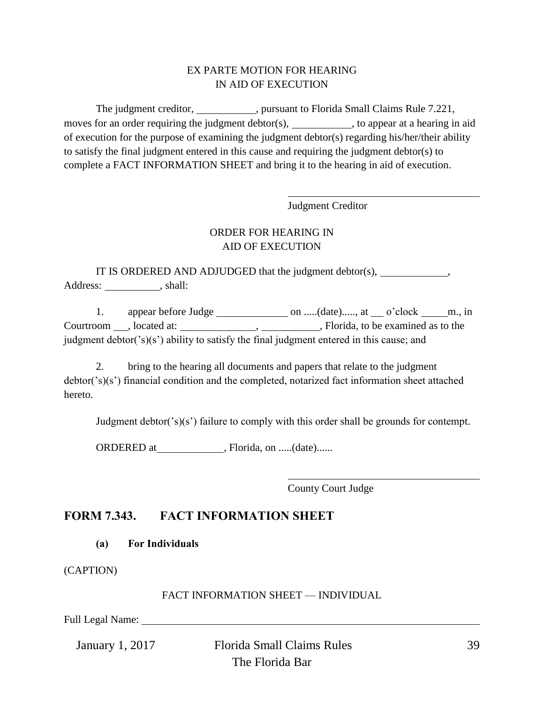#### EX PARTE MOTION FOR HEARING IN AID OF EXECUTION

The judgment creditor, help was pursuant to Florida Small Claims Rule 7.221, moves for an order requiring the judgment debtor(s),  $\qquad \qquad$ , to appear at a hearing in aid of execution for the purpose of examining the judgment debtor(s) regarding his/her/their ability to satisfy the final judgment entered in this cause and requiring the judgment debtor(s) to complete a FACT INFORMATION SHEET and bring it to the hearing in aid of execution.

Judgment Creditor

## ORDER FOR HEARING IN AID OF EXECUTION

IT IS ORDERED AND ADJUDGED that the judgment debtor(s),  $\qquad \qquad$ , Address: \_\_\_\_\_\_\_\_\_\_\_\_, shall:

1. appear before Judge on .....(date)....., at o'clock m., in Courtroom , located at: , , Florida, to be examined as to the judgment debtor('s)(s') ability to satisfy the final judgment entered in this cause; and

2. bring to the hearing all documents and papers that relate to the judgment debtor('s)(s') financial condition and the completed, notarized fact information sheet attached hereto.

Judgment debtor('s)(s') failure to comply with this order shall be grounds for contempt.

ORDERED at \_\_\_\_\_\_\_\_\_\_\_\_\_\_, Florida, on .....(date)......

County Court Judge

## <span id="page-38-0"></span>FORM 7.343. FACT INFORMATION SHEET

(a) For Individuals

(CAPTION)

#### FACT INFORMATION SHEET — INDIVIDUAL

Full Legal Name:

January 1, 2017 Florida Small Claims Rules 39 The Florida Bar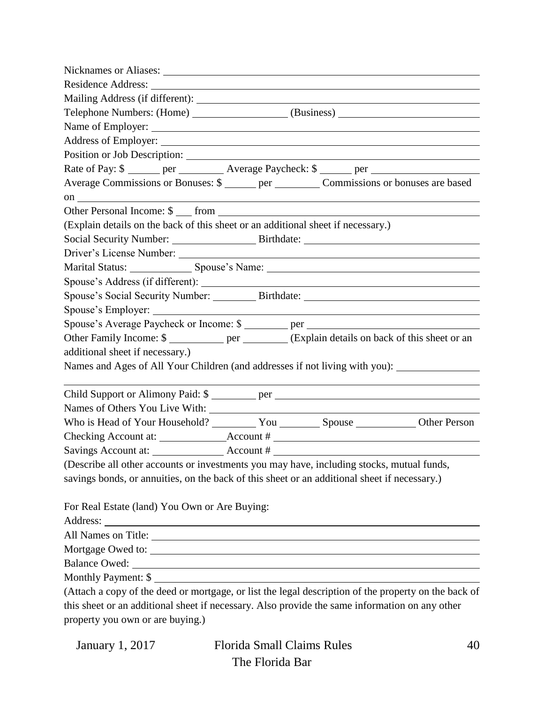| Telephone Numbers: (Home) (Business) (Business)                                                        |  |  |
|--------------------------------------------------------------------------------------------------------|--|--|
|                                                                                                        |  |  |
|                                                                                                        |  |  |
|                                                                                                        |  |  |
|                                                                                                        |  |  |
| Average Commissions or Bonuses: \$ _____ per __________ Commissions or bonuses are based               |  |  |
| on $\qquad$                                                                                            |  |  |
|                                                                                                        |  |  |
| (Explain details on the back of this sheet or an additional sheet if necessary.)                       |  |  |
|                                                                                                        |  |  |
|                                                                                                        |  |  |
|                                                                                                        |  |  |
|                                                                                                        |  |  |
|                                                                                                        |  |  |
|                                                                                                        |  |  |
|                                                                                                        |  |  |
| Other Family Income: \$ _________________ per ___________ (Explain details on back of this sheet or an |  |  |
| additional sheet if necessary.)                                                                        |  |  |
| Names and Ages of All Your Children (and addresses if not living with you): ________________________   |  |  |
|                                                                                                        |  |  |
|                                                                                                        |  |  |
| Names of Others You Live With:                                                                         |  |  |
|                                                                                                        |  |  |
|                                                                                                        |  |  |
|                                                                                                        |  |  |
| (Describe all other accounts or investments you may have, including stocks, mutual funds,              |  |  |
| savings bonds, or annuities, on the back of this sheet or an additional sheet if necessary.)           |  |  |
|                                                                                                        |  |  |
| For Real Estate (land) You Own or Are Buying:                                                          |  |  |
|                                                                                                        |  |  |
|                                                                                                        |  |  |
| Mortgage Owed to:                                                                                      |  |  |
|                                                                                                        |  |  |
| Monthly Payment: \$                                                                                    |  |  |
| (Attach a copy of the deed or mortgage, or list the legal description of the property on the back of   |  |  |
| this sheet or an additional sheet if necessary. Also provide the same information on any other         |  |  |
| property you own or are buying.)                                                                       |  |  |

| <b>January 1, 2017</b> | Florida Small Claims Rules |  |
|------------------------|----------------------------|--|
|                        | The Florida Bar            |  |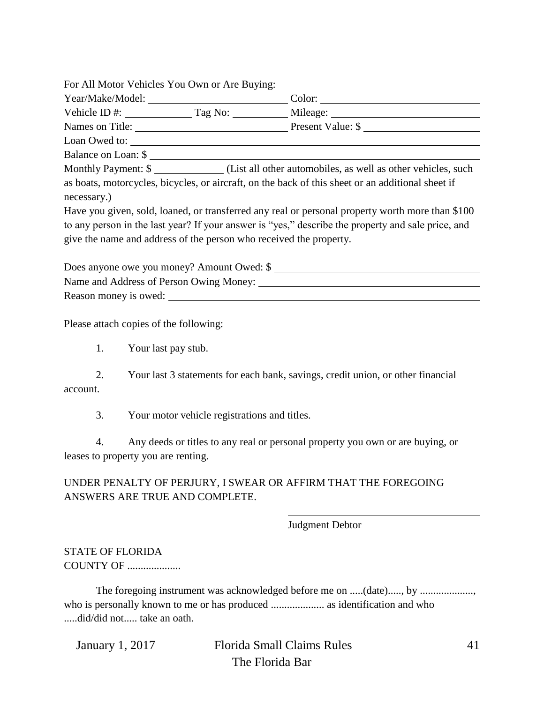|                |                                        | For All Motor Vehicles You Own or Are Buying: |                                                                                                    |
|----------------|----------------------------------------|-----------------------------------------------|----------------------------------------------------------------------------------------------------|
|                |                                        |                                               | Year/Make/Model: Color: Color:                                                                     |
|                |                                        |                                               | Vehicle ID #: Tag No: Mileage: Mileage:                                                            |
|                |                                        |                                               |                                                                                                    |
|                |                                        |                                               | Loan Owed to:                                                                                      |
|                |                                        | Balance on Loan: \$                           |                                                                                                    |
|                |                                        |                                               | Monthly Payment: \$ _____________(List all other automobiles, as well as other vehicles, such      |
| necessary.)    |                                        |                                               | as boats, motorcycles, bicycles, or aircraft, on the back of this sheet or an additional sheet if  |
|                |                                        |                                               | Have you given, sold, loaned, or transferred any real or personal property worth more than \$100   |
|                |                                        |                                               | to any person in the last year? If your answer is "yes," describe the property and sale price, and |
|                |                                        |                                               | give the name and address of the person who received the property.                                 |
|                |                                        |                                               | Does anyone owe you money? Amount Owed: \$                                                         |
|                |                                        |                                               |                                                                                                    |
|                |                                        |                                               |                                                                                                    |
|                |                                        |                                               |                                                                                                    |
|                | Please attach copies of the following: |                                               |                                                                                                    |
| 1.             | Your last pay stub.                    |                                               |                                                                                                    |
| 2.<br>account. |                                        |                                               | Your last 3 statements for each bank, savings, credit union, or other financial                    |

3. Your motor vehicle registrations and titles.

4. Any deeds or titles to any real or personal property you own or are buying, or leases to property you are renting.

## UNDER PENALTY OF PERJURY, I SWEAR OR AFFIRM THAT THE FOREGOING ANSWERS ARE TRUE AND COMPLETE.

Judgment Debtor

## STATE OF FLORIDA COUNTY OF ....................

The foregoing instrument was acknowledged before me on .....(date)....., by .................... who is personally known to me or has produced .................... as identification and who .....did/did not..... take an oath.

January 1, 2017 Florida Small Claims Rules 41 The Florida Bar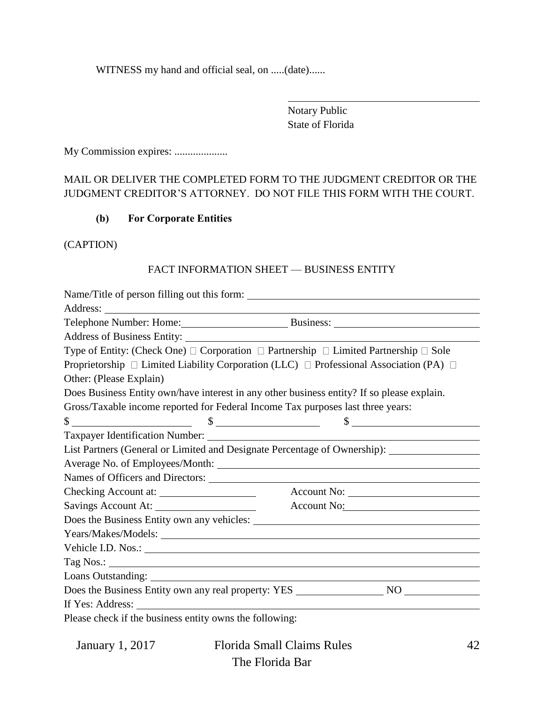WITNESS my hand and official seal, on .....(date)......

Notary Public State of Florida

My Commission expires: .....................

## MAIL OR DELIVER THE COMPLETED FORM TO THE JUDGMENT CREDITOR OR THE JUDGMENT CREDITOR'S ATTORNEY. DO NOT FILE THIS FORM WITH THE COURT.

#### (b) For Corporate Entities

(CAPTION)

#### FACT INFORMATION SHEET - BUSINESS ENTITY

| Type of Entity: (Check One) $\Box$ Corporation $\Box$ Partnership $\Box$ Limited Partnership $\Box$ Sole |               |
|----------------------------------------------------------------------------------------------------------|---------------|
| Proprietorship $\Box$ Limited Liability Corporation (LLC) $\Box$ Professional Association (PA) $\Box$    |               |
| Other: (Please Explain)                                                                                  |               |
| Does Business Entity own/have interest in any other business entity? If so please explain.               |               |
| Gross/Taxable income reported for Federal Income Tax purposes last three years:                          |               |
| $\frac{\text{S}}{\text{S}}$                                                                              | $\frac{1}{2}$ |
|                                                                                                          |               |
| List Partners (General or Limited and Designate Percentage of Ownership):                                |               |
|                                                                                                          |               |
| Names of Officers and Directors:                                                                         |               |
|                                                                                                          |               |
|                                                                                                          | Account No:   |
|                                                                                                          |               |
|                                                                                                          |               |
|                                                                                                          |               |
|                                                                                                          |               |
|                                                                                                          |               |
|                                                                                                          |               |
| If Yes: Address:                                                                                         |               |
| Please check if the business entity owns the following:                                                  |               |

January 1, 2017 Florida Small Claims Rules 42 The Florida Bar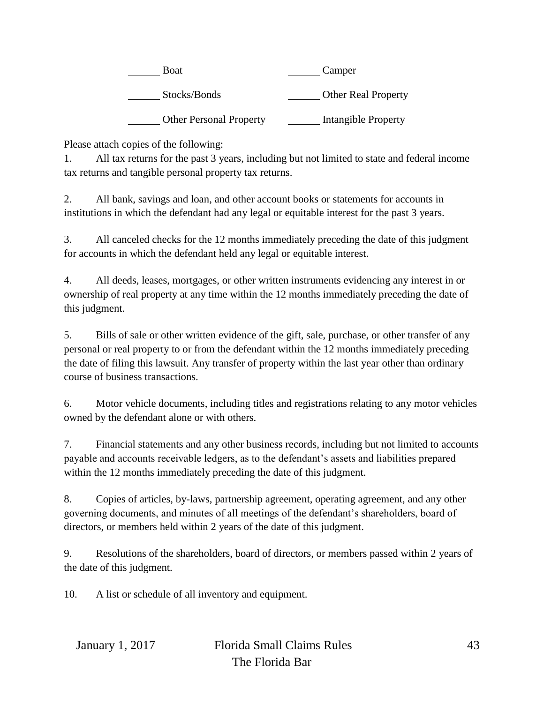Boat Camper Stocks/Bonds **Other Real Property** 

**CHECK** Other Personal Property **Intangible Property** 

Please attach copies of the following:

1. All tax returns for the past 3 years, including but not limited to state and federal income tax returns and tangible personal property tax returns.

2. All bank, savings and loan, and other account books or statements for accounts in institutions in which the defendant had any legal or equitable interest for the past 3 years.

3. All canceled checks for the 12 months immediately preceding the date of this judgment for accounts in which the defendant held any legal or equitable interest.

4. All deeds, leases, mortgages, or other written instruments evidencing any interest in or ownership of real property at any time within the 12 months immediately preceding the date of this judgment.

5. Bills of sale or other written evidence of the gift, sale, purchase, or other transfer of any personal or real property to or from the defendant within the 12 months immediately preceding the date of filing this lawsuit. Any transfer of property within the last year other than ordinary course of business transactions.

6. Motor vehicle documents, including titles and registrations relating to any motor vehicles owned by the defendant alone or with others.

7. Financial statements and any other business records, including but not limited to accounts payable and accounts receivable ledgers, as to the defendant's assets and liabilities prepared within the 12 months immediately preceding the date of this judgment.

8. Copies of articles, by-laws, partnership agreement, operating agreement, and any other governing documents, and minutes of all meetings of the defendant's shareholders, board of directors, or members held within 2 years of the date of this judgment.

9. Resolutions of the shareholders, board of directors, or members passed within 2 years of the date of this judgment.

10. A list or schedule of all inventory and equipment.

January 1, 2017 Florida Small Claims Rules 43 The Florida Bar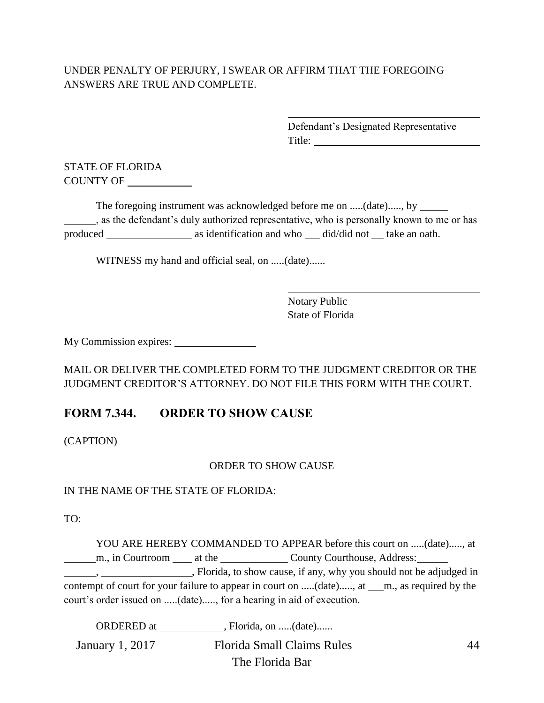## UNDER PENALTY OF PERJURY, I SWEAR OR AFFIRM THAT THE FOREGOING ANSWERS ARE TRUE AND COMPLETE.

Defendant's Designated Representative Title:

STATE OF FLORIDA COUNTY OF

The foregoing instrument was acknowledged before me on .....(date)....., by \_\_\_\_\_ as the defendant's duly authorized representative, who is personally known to me or has produced as identification and who did/did not take an oath.

WITNESS my hand and official seal, on .....(date)......

Notary Public State of Florida

My Commission expires:

MAIL OR DELIVER THE COMPLETED FORM TO THE JUDGMENT CREDITOR OR THE JUDGMENT CREDITOR'S ATTORNEY. DO NOT FILE THIS FORM WITH THE COURT.

## <span id="page-43-0"></span>FORM 7.344. ORDER TO SHOW CAUSE

(CAPTION)

#### ORDER TO SHOW CAUSE

IN THE NAME OF THE STATE OF FLORIDA:

TO:

YOU ARE HEREBY COMMANDED TO APPEAR before this court on .....(date)....., at m., in Courtroom <u>equal the County County Courthouse</u>, Address:

, , Florida, to show cause, if any, why you should not be adjudged in contempt of court for your failure to appear in court on .....(date)....., at m., as required by the court's order issued on .....(date)....., for a hearing in aid of execution.

ORDERED at \_\_\_\_\_\_\_\_\_\_\_\_, Florida, on .....(date)......

January 1, 2017 Florida Small Claims Rules 44 The Florida Bar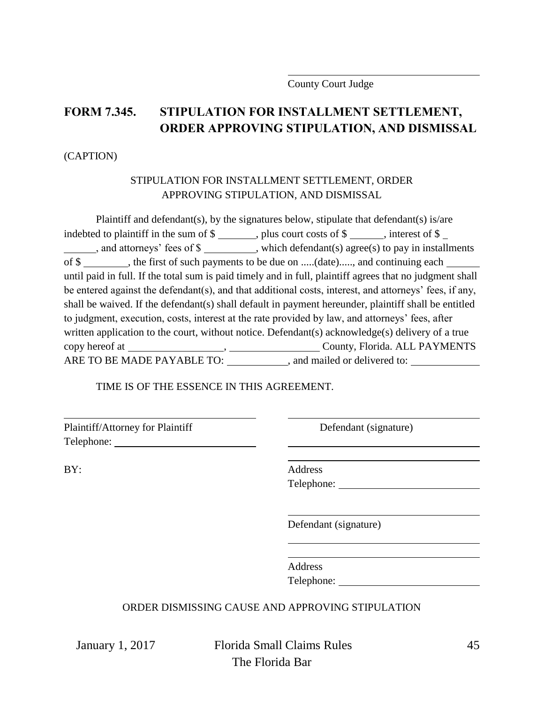County Court Judge

# <span id="page-44-0"></span>FORM 7.345. STIPULATION FOR INSTALLMENT SETTLEMENT, ORDER APPROVING STIPULATION, AND DISMISSAL

(CAPTION)

## STIPULATION FOR INSTALLMENT SETTLEMENT, ORDER APPROVING STIPULATION, AND DISMISSAL

Plaintiff and defendant(s), by the signatures below, stipulate that defendant(s) is/are indebted to plaintiff in the sum of  $\frac{1}{2}$ , plus court costs of  $\frac{1}{2}$ , interest of  $\frac{1}{2}$ , and attorneys' fees of \$ of \$ \_\_\_\_\_\_\_\_, the first of such payments to be due on .....(date)....., and continuing each \_\_\_\_\_\_ until paid in full. If the total sum is paid timely and in full, plaintiff agrees that no judgment shall be entered against the defendant(s), and that additional costs, interest, and attorneys' fees, if any, shall be waived. If the defendant(s) shall default in payment hereunder, plaintiff shall be entitled to judgment, execution, costs, interest at the rate provided by law, and attorneys' fees, after written application to the court, without notice. Defendant(s) acknowledge(s) delivery of a true copy hereof at , County, Florida. ALL PAYMENTS ARE TO BE MADE PAYABLE TO: , and mailed or delivered to:

TIME IS OF THE ESSENCE IN THIS AGREEMENT.

| Plaintiff/Attorney for Plaintiff | Defendant (signature) |
|----------------------------------|-----------------------|
| Telephone:                       |                       |

| Defendant (signature) |  |
|-----------------------|--|
|-----------------------|--|

BY: Address

Telephone:

Defendant (signature)

Address

Telephone:

## ORDER DISMISSING CAUSE AND APPROVING STIPULATION

January 1, 2017 Florida Small Claims Rules 45 The Florida Bar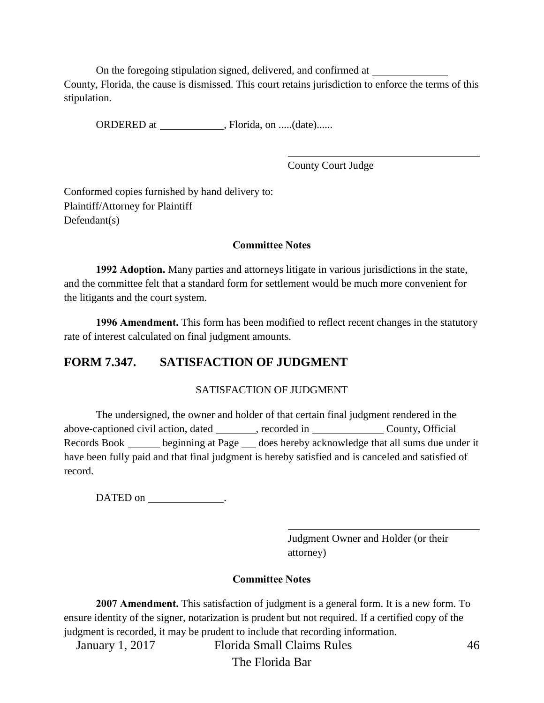On the foregoing stipulation signed, delivered, and confirmed at County, Florida, the cause is dismissed. This court retains jurisdiction to enforce the terms of this stipulation.

ORDERED at \_\_\_\_\_\_\_\_\_\_\_\_\_\_, Florida, on .....(date)......

County Court Judge

Conformed copies furnished by hand delivery to: Plaintiff/Attorney for Plaintiff Defendant(s)

#### Committee Notes

1992 Adoption. Many parties and attorneys litigate in various jurisdictions in the state, and the committee felt that a standard form for settlement would be much more convenient for the litigants and the court system.

1996 Amendment. This form has been modified to reflect recent changes in the statutory rate of interest calculated on final judgment amounts.

## <span id="page-45-0"></span>**FORM 7.347. SATISFACTION OF JUDGMENT**

#### SATISFACTION OF JUDGMENT

The undersigned, the owner and holder of that certain final judgment rendered in the above-captioned civil action, dated \_\_\_\_\_\_\_, recorded in \_\_\_\_\_\_\_\_\_\_\_\_\_\_ County, Official Records Book beginning at Page does hereby acknowledge that all sums due under it have been fully paid and that final judgment is hereby satisfied and is canceled and satisfied of record.

DATED on \_\_\_\_\_\_\_\_\_\_\_\_\_\_\_.

Judgment Owner and Holder (or their attorney)

#### Committee Notes

2007 Amendment. This satisfaction of judgment is a general form. It is a new form. To ensure identity of the signer, notarization is prudent but not required. If a certified copy of the judgment is recorded, it may be prudent to include that recording information.

January 1, 2017 Florida Small Claims Rules 46 The Florida Bar